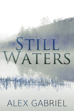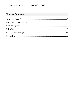## **Table of Contents**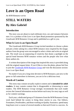# <span id="page-2-0"></span>**Love is an Open Road**

*An M/M Romance series*

# **STILL WATERS**

## **By Alex Gabriel**

#### **Introduction**

The story you are about to read celebrates love, sex and romance between men. It is a product of the *Love is an Open Road* promotion sponsored by the *Goodreads M/M Romance Group* and is published as a gift to you.

#### **What Is Love is an Open Road?**

The *Goodreads M/M Romance Group* invited members to choose a photo and pen a letter asking for a short M/M romance story inspired by the image; authors from the group were encouraged to select a letter and write an original tale. The result was an outpouring of creativity that shone a spotlight on the special bond between M/M romance writers and the people who love what these authors do.

A written description of the image that inspired this story is provided along with the original request letter. If you'd like to view the photo, please feel free to join the [Goodreads M/M Romance Group](http://www.goodreads.com/group/show/20149-m-m-romance) and visit the discussion section: *Love is an Open Road*.

No matter if you are a long-time devotee to M/M Romance, just new to the genre or fall somewhere in between, you are in for a delicious treat.

#### **Words of Caution**

This story may contain sexually explicit content and is **intended for adult readers.** It may contain content that is disagreeable or distressing to some readers. The *M/M Romance Group* strongly recommends that each reader review the General Information section before each story for story tags as well as for content warnings.

Each year, a dedicated group of Volunteers from the M/M Romance Group work hard behind the scenes to bring these stories to you. Our Editors, Formatters, Proofreaders, and those working on Quality Assurance, spend many long hours over a course of several months so that each Event is a success. As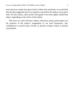each and every author also gives freely of their time and talent, it was decided that all edits suggested may be accepted or rejected by the author at any given time. For this reason, some stories will appear to be more tightly edited than others, depending on the choice of the author.

This story is a work of fiction. Names, characters, places and incidents are the products of the author's imagination or are used fictitiously. Any resemblance to actual events, locales, or persons, living or dead, is entirely coincidental.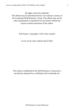All rights reserved worldwide.

This eBook may be distributed freely in its entirety courtesy of the Goodreads M/M Romance Group. This eBook may not be sold, manipulated or reproduced in any format without the express written permission of the author.

Still Waters, Copyright © 2015 Alex Gabriel

Cover Art by Alex Gabriel and SJ Eller

This ebook is published by the *M/M Romance Group* and is not directly endorsed by or affiliated with Goodreads Inc.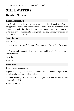# <span id="page-5-0"></span>**STILL WATERS By Alex Gabriel**

## **Photo Description**

A redheaded, muscular young man with a short beard stands in a lake, a scraggly stand of seaweed-draped deadwood behind him and mountains in the distance. He looks directly at the viewer, wearing a neutral expression. The water comes up to just above his waist, and he is lifting a sturdy white net from the water with both hands.

### **Story Letter**

#### *Dear Author,*

*I only have two words for you: ginger merman! Everything else is up to you.*

I would really appreciate it, though, if you would skip dub/non-con, 'cause I really hate that.

*Have fun,*

*Kathleen*

#### **Story Info**

**Genre:** fantasy, paranormal

**Tags:** merman, mythical creatures, shifters, fairytale/folklore, 2 alpha males, enemies to lovers, interspecies, violence

**Content Warnings**: brief reference to suicide, deaths of non-MC, descriptions of drowning, HFN

**Word Count:** 24,427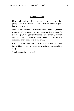#### *Acknowledgement*

<span id="page-6-0"></span>First of all, thank you, Kathleen, for the lovely and inspiring prompt—and for leaving so much space for the prompt to grow into a story in my mind.

"Still Waters" was betaed by Sonja Cameron and Anna, both of whom helped me very much. I also owe a big debt of gratitude to my long-suffering editor Elizabetta—who patiently endured torture by semicolon—my proofreaders, and all of the organizers and participants of this event.

Last but by no means least: S.J. Eller saved my cover and turned it into something that perfectly captures the mood of the story.

Thank you again, everyone!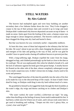# **STILL WATERS By Alex Gabriel**

<span id="page-7-0"></span>The beavers had multiplied again and were busy building yet another secondary dam a few fathoms farther down the river. They'd also dragged a corpse to the top of their primary dam and covered it up in twigs and mud. Drakjan didn't understand why beavers deposited carcasses on top of dams—it made no sense. Quite apart from the fouling of the water, a human corpse was large enough to attract dangerous predators. The beavers could just as easily have dragged the thing onto dry land and buried it there.

But that was beavers for you: extremely useful—impossibly stubborn.

At least this time, none of them had migrated to the tributary that fed into his lake. He wasn't about to put up with a dam changing the pleasant currents and energies of his lake and getting in the way of fish, and he was glad he wouldn't have to spend weeks chasing off stubborn beavers to prevent just that.

With a long-suffering sigh, Drakjan expelled the water from his lungs, shrugged on legs, and climbed painstakingly up the bank as close to the dam as he could get. The air was unpleasantly thin when he inhaled a breath of it, and the lack of substance against his body gave him goose bumps. A nearby beaver kit floated on the other side of the dam, almost completely submerged except for its small, suspicious eyes. It didn't retreat into its lodge, clearly used to his scent and presence.

The waterlogged branches of the dam bit painfully into the soles of his feet as he made his way to the obscured heap of the corpse. At least it hadn't been dead for long, so Drakjan could drag it onto dry land without much of a mess.

He grumbled to himself as he tugged the body through the thick brambles at the water's edge, dry twigs and thorns catching on its clothes and Drakjan's skin.

*"The water rushed, the water swelled, a fisherman sat nigh,"* he sang, rather than dwelling on the feeling of mossy forest mulch underneath his feet. It had been a while since he'd been out of water, and it always took some time to get used to breathing and walking. *"Tempts not this river's glassy blue, so crystal, clear and bright?"*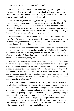He hadn't remembered how soft and vulnerable legs were. Maybe he should have taken the time to go back for his clothes, but it hadn't occurred to him and seemed too much of a bother now. Oh well, it wasn't that big a deal. The scratches would heal when he took back his scales.

*"To him she said, to him she sung, the river's guileful queen…"* Singing, at least, was pure pleasure; nothing made him as happy as raising his voice and filling the empty air with sound and beauty. The way a melody could lift and carry in this element, the way his voice rang and resonated, deep and powerful and clear… this was the one thing he truly loved about breathing air. *"Half in he fell, half in he sprung, and never more was seen."*

Two hundred fathoms or so should definitely be a safe distance from the river. Still, Drakjan was already wearing legs and scratching them up by crashing through the undergrowth, so he might as well make entirely certain nothing dragged the corpse back to contaminate his water.

Another couple of hundred fathoms, and he dumped the corpse out in the open for the carrion-eaters. He caught a small flicker of white and motion from the corner of an eye as he straightened. By the time he looked, though, whatever it was had fled and there was nothing left to see. Nothing but moss and trees and underbrush, at any rate.

The walk back to the river was far more pleasant, now that he didn't have the unwieldy shape of a hefty dead human weighing him down and catching on every twig. He slowed a bit so he could concentrate on singing. He'd moved on to another old favorite, a sailor's song*. "We love the storms, the roiling swells, the roughness of the freezing gales."* Drakjan had a vague memory of hearing this one from the deck of a ship passing by on the river's surface, a shadow of motion and mammalian warmth. *"We drive our prey with surging sails, hunt them across the endless sea…"*

Next, Drakjan sang a boisterous drinking song full of raised glasses and barrels of rum, and then something sweeter and sadder—a more recent tune he'd heard last summer, when someone had staged their drunken revels in the woods not far from here. Drakjan had gotten out of the water to listen to the music they were playing, and spent most of the night dodging clumsy teenagers stumbling off into the trees to grope each other. (Later, when the night paled with approaching dawn, five of the groping teenagers made their way to the lake to take a dip. It always happened, with this kind of party. It had been fine—Drakjan just concentrated on the synthetic heartbeat of the music, letting it drown out the real, living heartbeats in his water.)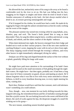He allowed the last, melancholy notes of his song to die away as he found a comfortable rock by the river to sit on. His hair was falling into his face, snagging on his fingers in tangles and knots when he tried to brush it back. Another annoyance of walking on dry land—his hair always snarled when it dried in air, its texture growing unmanageable and rough.

If he'd stopped for his clothes, he would have had a comb. He made do by tugging his fingers through the auburn-streaked mess as best he could, working out the worst of the tangles.

The pleasant summer day turned into evening while he sang ballads, arias, shanties, pop, and rock. The forest's birds joined him in song as dusk descended. Then, he sang the oldest song he knew, wordless and eternal: a song of death, and rebirth, and the silent comfort of the depths' embrace.

When dusk darkened into night, the beavers emerged from their lodge and headed out to work on their various projects. One of the new ones startled on catching Drakjan's scent, slapping the water with its tail as it dove from sight. The sharp clapping sound echoed through the evening's stillness, and every other beaver in sight immediately submerged, diving for safety.

Drakjan cast off his legs and slipped beneath the surface of the river without a splash, gratefully filling his lungs with water.

\*\*\*\*

He might have paid more attention to his surroundings if he hadn't been hungry and focused on the small movements of fish gliding through the nightdark waters. He might have—but then again, probably not. It had been a long time since he'd been constantly on guard, always anticipating an attack. He'd almost forgotten what it was like to live with every sense stretched to vibrant fullness, to thrill to every heartbeat drawing near, to every ripple meeting his silent, waiting skin.

Back then, Drakjan would have said that that constant, steel-cold alertness wasn't something you could unlearn.

Now, though… now, one moment he was lazily drifting towards his lake, languid with song, the remembered thrum and flex of melodies running through him like a joyful current. He was looking forward to the sweet cold blood of his dinner, the catch of scales against his lips, the desperate struggle of a small life winking out in his grasp—

The next instant, something unseen brushed against him.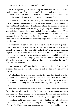He was caught off guard, couldn't stop his immediate, instinctive twist to evade and push away. That single powerful flex of his body was enough to trap his caudal fin in mesh and draw the net tight around his body, crushing his pelvic fins against his stomach and ensnaring his arm and shoulder.

He froze in the water, still as a stone, his hair drifting around him in an obscuring cloud. He could make out the gossamer threads of the entrapping net now, visible only in glimpses where the current and the glimmer of light from the surface caught them at exactly the right angle. They were woven of bast and wax and a faint whisper of enchantment, faded but sharp against his skin. There had to be anchors somewhere, too, weighed down with rocks or tied to submerged roots. And on the surface, there would be a bell or swimmer of some kind to make it obvious that something larger than a river trout had swum into the trap.

A trout would thrash and try to tear loose. It was the natural response— Drakjan felt the same urge, wanted to fight free of the net, or twist to cut through its cords with the sharp edges of his fins. The instinctual, panicked response was exactly what nets like this were built for, though. He didn't dare move more than necessary to prevent the current and his weight from pushing him forward, farther into the net; anything else would only ensnare him further. Worse, he had to have set off the alarm the instant he'd swum into the trap. He was already out of time.

But Drakjan was old, and his blood ran colder than meltwater. And attacking him in his own water… no. No matter what, that was always a mistake.

Wreathed in netting and his own hair, he drew in a deep breath of water, opened his mouth, and sang. Under water, his voice lacked the rich resonance it held in air; every note was narrowed and refined, whittled down to its essential power. Even so, his song was clear and sharp as crystal to any ear that could hear.

The currents of the lake around him swirled in sudden agitation, and rough fur brushed his side. Two deceptively plump bodies curved around him, sleek and graceful… three. Drakjan sang to them, and the beavers heard, paddling close to tear with strong, sharp teeth at the netting that trapped him.

In a single night, one beaver could fell a tree that had grown for a hundred years. This netting was less than nothing to them. They might well fear him after this, flee his presence for a month or a season, but they would calm down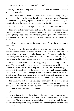eventually—and even if they didn't, time would solve the problem. Their kits would not remember.

Within moments, the confining pressure of the net fell away. Drakjan wrapped his fingers in the loose threads as the beavers darted off. Sparks of enchantment stung sharply against his palms as he pulled on the net enough to keep the lines to the surface drawn tight, jostling it a little for added realism.

After so long, the wild, feral grin felt almost unfamiliar on his face.

There was no betraying warmth of flesh in the water—no jagged currents caused by someone moving awkwardly, out of their natural element. The only warning Drakjan had was a flash of motion, blurring into silver and black. It was enough. He'd been waiting for this, every muscle and nerve tense and ready.

Steel-scented motion piercing the water. A burst of heat. The wild drumbeat of a heart.

Drakjan shot to the side, twisting to avoid the spear and whipping the tattered remains of the net around the weapon's shaft as it flashed by. He caught a hard blow to the side as he doubled back. His attacker had adjusted mid-strike, quick as a striking moray eel. Still not fast enough, because Drakjan caught hold of the spear with one hand as he surged upwards, caudal fin flared.

He erupted into air in a burst of spray, lifting almost entirely out of the water. The human had let go of the spear in time to prevent himself from being thrown off balance. He was crouching on a makeshift construction of logs and planks that stretched out over the mouth of the river—high enough it didn't touch the water, not massive enough to catch attention from below, in the dark. It had to have been constructed in a very short amount of time, and it was exactly the kind of thing Drakjan wouldn't notice until it was too late.

The hunter was fast, too. He'd already scrambled back far enough on his construction that Drakjan couldn't grab him, couldn't reach him even with the spear. In another instant Drakjan would fall back into the water, giving the hunter time to reach the safety of dry land.

Or not.

Drakjan laughed as he threw himself forwards, crashing down on the wooden construction with the full force of his considerable weight and momentum. The pain of impact was negligible, and entirely worth it. Because the structure collapsed instantly, and the human slipped right off into the water, and then…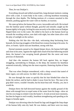Then, he was Drakjan's.

Everything slowed and stilled around him, long-dormant instincts coming alive with a rush. A warm body in his water, a driving heartbeat resonating through the clear depths. The flailing motions of a creature unsuited to this element, pushing against the water with no rhythm, no traction.

He came up below the human like a wave, inexorable and swift. He twisted into the familiar spiral without thought, graceful and smooth; caught up the human tightly in his grip, locking his arms securely to his sides even as Drakjan flipped them over in the water. He rolled to his back so the human faced up towards the receding surface, now dark with night, but other times alive with the play of sunlight on the surface.

Nothing else felt like this—the dark, welcoming deep beckoning from beneath, the heaving struggles of the blood-hot creature burning in his arms. So alive, so frantic. Quick staccato heartbeat, strong with fear.

Eternal moments passed as he slipped deeper down, the human held tight and close in his arms. Against the night-dark cloud of his hair billowing around them, the human's last escaping breath gleamed like the rarest and most precious of diamonds.

And that—the moment the human fell back against him, no longer struggling, surrendering to Drakjan, to the deep; the moment his heartbeat stuttered erratically, falling into the most exquisite, fluttering rhythm of them all…

That was when Drakjan remembered, with a sharp wrench that tasted of bitter regret, cut with sorrow: he didn't do this anymore.

He rose through the water so quickly that his hair blinded him when he broke the surface, and he had to shake it away from his face. The man in his grip didn't move, wouldn't breathe, but his heart beat still. Weakly, yes, but it would do.

Drakjan threw the half-drowned human against the muddy ground of the shore with enough force to expel some of the water from his lungs—drew air into his own lungs to exhale it into the hunter's. It took several more moments, but then he began to retch weakly, heartbeat strengthening and speeding as he began to breathe again.

Drakjan was shivering when he found his legs and dragged the limp shape of the human fully onto dry land. He was shaken, and there were too many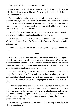possible reasons for it. Was it the frustrated need to finish what he'd started, or relief that he'd caught himself in time? Or was it perhaps simple grief, the pain of everything he had lost…

Except that he hadn't lost anything—he had decided to give something up. It was his choice, it always had been. He reminded himself of this as he turned the human who'd tried to kill him to his side, waiting for the man's heartbeat to steady and his breathing to even out into shallow rasps. Drakjan had chosen this life, and that made all the difference.

He walked backwards into the water, watching the semiconscious hunter, and refused to call the wrenching tug at his center longing.

Drakjan spent the night in the deepest part of his lake, curled into a bed of silt cushioned with soft tendrils of waterweed and moss. He did not sing, and he did not sleep.

When dawn turned the lake's surface silver, gray, and gold, the hunter was gone.

\*\*\*\*

The yearning never truly went away. There were hours when he forgot to notice it—days, sometimes. It was always there, just the same. He'd come close to succumbing many times, but this was the first time he'd been close enough to feel the currents of the weakening struggle against his skin, breathe in the water curling temptingly around a drowning body.

It was a horrible thing to face the prospect of never again experiencing the unique thrill, the absolute rightness and beauty of that last, faltering heartbeat… that last exhaled breath dancing towards the distant surface like a shoal of silvery fish. The coolness of the water seeping into mammalian warmth as life stilled.

He'd never been able to give it up, and never would be. Not truly. But he'd taught himself to delay giving in to the need, just for one more day… one more hour. One more drunken teenager bathing in his lake, laughing and fearless. One more squealing child splashing through the shallows of his river. One more soft, warm air-breather thinking nothing of wandering along the shores of the waters Drakjan claimed as his.

No, the yearning never went away. It wasn't the most important thing in his life anymore, though.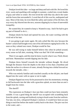Drakjan loved this lake—so large and deep and lush with life. He loved this river, warm and sparkling with sunlight in summer, cooled into crystal shades of gray and white in winter. He even loved the wide blue sky above the water and the forest that surrounded it. Loved that all of this was his, undisputed and easy. Most of the time, he even liked the safety and routine of his life here, the way every day blurred into the next, seasons slipping by in a haze of uneventful tranquility.

He wanted this; he wanted to keep it. Wanted to stay. And if he had to give up part of himself to do it…

Drakjan shook his head and opened his eyes, the water swirling with the vivid red of his hair.

It was going to get easier again. He only ached like this now because the hunter's attack had brought every one of his old instincts raging back to life. As soon as they calmed once more, Drakjan would be fine.

He was still trying to make himself believe this when he jerked around, every sense on full alert, straining. What was that? He'd felt something—

There it was again, and this time he knew exactly what it was. Flesh, blood, and bone. Mammalian warmth dipping into his lake.

Drakjan threw himself towards the intruder without thought. He sliced through the distance from the depths to the shore in less than a heartbeat and broke the surface in a shower of water, already flexing into a lethal forward arc towards the intruder, who—

Who was entirely familiar and crouched casually on the old pier, one hand dipped into the water with no spear or net in sight.

Drakjan flipped out every fin he possessed to slow his momentum, twisting to fall backwards into the lake with a graceless splash, no more than an arm's length from his visitor.

#### The sheriff?

The expression on Drakjan's face just then could not have been remotely suitable. It was a good thing the sheriff was occupied with scrambling back from the splash, cursing and fruitlessly trying to brush water from her uniform. Too late, too slow, whispered Drakjan's instincts. It would have been an easy thing to reach her before she made it safely back to the shore. The pier was low to the water, and—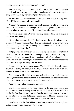But it was only a moment. In the next instant he had himself back under control, and was dragging up the mild, friendly curiosity that he thought an early-morning visit by the wolves' protector warranted.

He breathed out water and inhaled air for the second time in as many days. "Sheriff," he said, as neutrally as he could.

"Julian." She nodded to him in the usual careless way of her people. Her smile was not the usual one, though—it was a thin, gray thing instead, and entirely failed to reach her eyes. "I'm afraid I have disturbing news."

All things considered, Drakjan seriously doubted this. He managed a concerned look anyway.

"There's been an—accident." She hesitated over the word just long enough to make it obvious. "Thomas Baker died late last night. I don't want to go into the details now, but he most definitely did not die of natural causes, and the circumstances are unsettling."

Judging by the sheriff's expression, he was expected to show some kind of reaction. Drakjan cast about for an appropriate response before settling on shock and dismay—presumably the suspicious death of a member of her clan warranted as much. Accordingly, he opened his eyes wide and sank deeper into the water, as though recoiling from the news.

It appeared to be the correct response. The sheriff nodded grimly, mouth set. "We're calling an emergency meeting. Everyone needs to be in on this. Tonight at eight, down in the council hall."

Silence stretched for slightly too long as Drakjan parsed this in his mind. Leaving aside the fact that this amount of drama seemed like an overreaction to him... hadn't that sounded suspiciously like an invitation?

"You want me to join you at this meeting."

She gave him a steady look. "Yes, Julian, we do. You know me, so you know I'm not prone to running scared, but this? This is bad. All the freeholders need to be there because everyone needs to be made aware, and also because we have to pool our knowledge and resources. Even Marian's coming down from the mountains, and you know how cougars hate crowds."

Drakjan stared at the sheriff blankly for a long moment before managing to dig up an appropriate response. "I'll be there."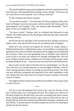The sheriff nodded brusque acknowledgment and took a step back from the end of the pier. She hesitated before turning to leave, though. "You know you can come down to town anytime. You're always welcome."

To this, Drakjan truly had no response.

"It's just that you seem—" but she broke off with an impatient shake of the head. In Drakjan's previous encounters with the sheriff, she'd been gruff, but good-tempered and energetic. Now, she seemed oddly diminished. "Never mind. I'll see you tonight. Be careful."

"I'm never careful," Drakjan said, too confused and distracted to stop himself. The halfhearted snort the sheriff gave indicated she hadn't taken him seriously, anyway.

By the time the true absurdity of the situation hit him, Drakjan was back in deeper water, with only the fish to hear his incredulous bark of laughter.

When he'd first arrived, he'd gained his territory by simply taking it. Nobody had been here to defend these waters. As incredible as it seemed, they appeared to have been essentially unclaimed, merely tagged onto the adjoining dry territories. There was some grumbling from air-breathers who wanted to swim or fish or use boats, but nobody ever outright challenged him. Over the years, Drakjan worked out the conditions of coexisting with the people whose territories bordered on his… and as far as he was concerned, that had been that.

But not only was his claim to the lake and river unchallenged—no. No, far more than that, he'd actually become an acknowledged freeholder while he wasn't paying attention, merely by turning up and sticking around. His claim was now officially recognized and respected by the other freeholders in the area. Respected to the extent that he'd actually become a member of the joint council of leaders.

He laughed until his stomach hurt and his fins trembled. Then, he got ready to walk in the air.

\*\*\*\*

The key to the old boathouse had rusted in the water by the base of the pier's farthest pillar, but it still opened the door. His clothes were where he'd left them, draped over the hull of the canoe that sat rotting in the shack's musty gloom. Drakjan grabbed them quickly, eager to get out of the stale air. He was already half out of the door when he remembered his backpack, and had to turn back briefly. A moment later he'd finally escaped out into the sun, sneezing as old dust bit into his sinuses.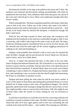He balanced carefully on his legs as he pulled on his jeans and T-shirt. His sneakers were battered and discolored, feeling uncomfortably stiff when he jammed his feet into them. They softened a little when they grew wet, but he'd get a new pair when he got to town. Shoes were unpleasant enough when they weren't moldy.

Which reminded him. The bears sometimes paid him with money when they came to fish in his river. Unless one of the wolves who came to his lake to splash around on the surface had stolen it, he should still have some left… And he did, as he found when he checked the backpack. It should be enough. He didn't need much.

With his feet and legs encased in shoes and jeans, the overgrown trail leading from the boathouse to the road was comfortable enough to walk. It was a warm day, and it didn't take long for the water to dry on his skin. He sang a boisterous drinking song he remembered from an inn by his first stream, and the cheerful tune took his mind right off the various niggling annoyances of walking on dry land and breathing air.

Drakjan could probably have hitched a ride to town once he reached the road. He didn't, though, and not just because he'd never liked cars. He had no need to hurry, and a lot to think about.

Such as: A hunter had attacked him here, in this land, in his own lake, where Drakjan had believed himself safe. He'd attacked in a way that showed he knew exactly what he was doing. And now the wolves were upset that one of their kind had been murdered. It seemed likely these two events were linked, considering. Come to think of it, Drakjan had found a dead body, too. Another first, and something it now occurred to him the sheriff might find interesting. He'd have to remember to mention it to her.

Drakjan had been telling the truth when he said he was never careful. It wasn't in his nature to float about speculating about potential threats or to twist himself out of shape trying to steer clear of hypothetical dangers. Nor did he generally spend much time musing on things that did not concern him, or how they might possibly come to concern him in the future. Still, this might be one of those times when the stream of events rushing by was too torrential to ignore.

It took him several hours to reach the town by foot, traversing a distance he could have crossed in minutes in the water. He didn't mind, especially since he found that after he'd once again gotten used to the way everything felt and worked on dry land, he felt calmer… more settled. The yearning was still there,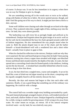of course. It always was. It was far less immediate in its urgency when there was no way for Drakjan to give in, though.

He saw something moving off in the woods once or twice as he walked, along with flashes of white fur or fabric. He never spotted anyone, though, and didn't feel like going out of his way to check. It might just have been a bird or a deer, anyway.

Some wolf children were chasing each other through an orchard at the edge of town. They scattered when they caught sight of him, melting away into the trees. On land, they were almost graceful.

The barbershop was still every bit as jarringly bright and artificial as he remembered. Drakjan had forgotten about the giant image of an arctic wolf on the far wall, but he remembered the faux-fur chairs grouped around a table full of fashion magazines. He also remembered the way people stared when he came in. Both the plastic-draped man in one of the chairs and the barber himself—a broad-shouldered wolf with a weathered face and a short white beard—actually froze in place to gape at him.

When he checked his reflection in the mirrors, Drakjan could see why they were surprised. His hair and beard had grown long when he hadn't been paying attention, turning into a heavy copper mass streaked with bright, sun-bleached bronze and blood-dark strands tinted by the depths of his lake. In water, his hair spread into a concealing cloud when he floated quietly in the shallows, looking up into the sky beyond… it streaked back smoothly behind him when he swam, with no drag to slow him down.

In air, his hair dried into a tangled mess, coarse and unsightly. It sat on his head like a nest of dried-out red algae tossed up on the shore, conspiring with his equally unsightly beard to all but entirely obscure his face.

Recently, the days and seasons had begun to blur into each other with sameness. Really, it was a good thing that something out-of-the-ordinary was happening. He could do with a change.

\*\*\*\*

The council hall was a wooden single-story building surrounded by a park. The park featured pleasingly arranged clusters of trees, well-tended stretches of lawn, and small, shallow bodies of water. Drakjan lingered by a burbling brook for a while, trying to soothe his growing unease. It felt wrong to be away from water. No water meant no escape, no retreat. All of his natural weapons involved water—on dry land, he was relatively easy prey.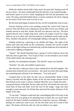While the shallow brook didn't help much, the quiet did. Drakjan took off his new shoes—far more comfortable than the old ones, even soaked through and found a place to sit for a while, dangling his feet into the pleasantly cool water. He sang a mournful ballad about a woman waiting by the shore, hoping for the return of her lover who was lost at sea.

By the time dusk began to darken the sky, he felt considerably more at ease.

Several chatting wolves were standing around the council hall when he arrived. They fell silent as he walked past, but he didn't know any of them, and nobody moved to stop him. Inside, the hall was spacious and airy. The door opened directly into a single long room, which was empty except for a large table set up at its other end. Intricate patterns of polished woods made up the floor, flooded with patches of evening light falling in through the windows.

Drakjan looked up, expecting to see shields and flags—the sigils of the houses and clans that made up this community. Instead, the carved wooden rafters of the high ceiling were adorned only with the elaborate silver threads of a decorative lighting arrangement.

"Julian!" The sheriff detached from a group of wolves halfway down the hall and came to greet him. "You're just in time. Let me introduce you to some of the others before the meeting starts."

Jennifer, he remembered abruptly. The sheriff's name was Jennifer.

"Jennifer," he said, and nodded acquiescence.

She shot him a sideways look as they walked down the hall together. She seemed more relaxed in her own territory—her smile was still a thin, pale thing, but something had softened in her demeanor. "You look good."

Cropped short to his skull, his hair was an unremarkable shade of deep auburn, touched with the lighter shades of the red and orange autumn leaves that floated on his water's surface. Drakjan liked the way it made him look young and almost vulnerable, his face open and soft, all smooth skin and even, clean lines of bone and flesh. Even his eyes fit the image—large and clear enough to seem innocent, for all that they mirrored the murky darkness of the depths of his lake.

"It was time." Drakjan would miss the camouflaging drift of his hair in the water, but if he was going to be spending time on land, this was much more practical. He hadn't needed concealment for a long time, anyway. Although… perhaps he could have used it now, for the first time since he'd come to this place. The hunter still lived, after all, and was likely to try again.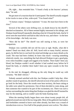Oh, right… that reminded him. "I found a body at the beavers' primary dam," he said.

He got more of a reaction than he'd anticipated. The sheriff actually stopped in her tracks to stare at him, wide-eyed. "You found what?"

"A human corpse," Drakjan explained. "A man. He must have been in the river."

Several of the others were drifting over, no doubt drawn by the sheriff's shocked exclamation. All of them seemed highly interested in his tidings, and Drakjan found himself repeatedly detailing when he'd found the body, that he'd never seen the man before and had no idea who he was, and where—to the best of his knowledge—the body was now.

"How did he die?" The sheriff was still staring at him, as were her compatriots.

Drakjan very carefully did not roll his eyes or sigh. Really, what did it matter? Dead was dead, after all. Still, faced with so many fearful, anxious gazes, he did his best to cast back his mind and dredge up as many details as he could. The man had been clothed, he knew that much—wearing something relatively sturdy, too, something that had allowed Drakjan to get a good grip, even when brambles caught and tugged at his burden. There hadn't been any blood, but Drakjan couldn't recall whether it had washed away before he'd found the body, or whether there hadn't been any open wounds in the first place.

In the end, he shrugged, offering up the only thing he could say with certainty. "He didn't drown."

Nobody seemed satisfied with this, but Drakjan couldn't help that. After another round of questions, the sheriff selected several of her police officers to go look for the body. Since the woods were bear territory, the bears sitting at the table were asked for permission. One of them decided to come along, and then someone else wanted to be part of the excitement, too. There was such a ruckus surrounding the entire thing that Drakjan was glad the sheriff insisted he stay for the meeting, and so couldn't join the body-hunting team.

When the meeting finally began there were about twenty people left, all gathered around one end of the too-long table. Most of the gathered clan leaders and freeholders seemed to know each other already, but there was a round of introductions even so. Over half of the people present were wolves. The others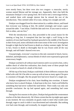were mostly bears, but there were also two cougars—a muscular, stocky woman named Marian and her teenage son. Apparently, their clan held the mountains Drakjan's river sprang from. He'd never met a werecougar before, and studied them with enough interest that he missed the rest of the introductions. They seemed rather ill at ease, sitting very straight and still.

Drakjan was dragged from his observations by a sudden silence, and found that everyone was looking at him. He smiled winningly and swept a gaze around the table. "I am Julian. I hold the lake and river. If you want to swim or fish in either, ask me first."

With the introductions over, they proceeded to the actual reason for the meeting at long last. It transpired that late last night a wolf living in the outskirts of town had found her husband sprawled in the middle of the flowers in their front yard, stone cold dead in the truest sense of the word. Investigation brought to light that he had frozen to death on a balmy summer night. He had, in fact, frozen to death so thoroughly that he was frozen solid all the way through, and still hadn't thawed even now.

Unsurprisingly, everyone's reaction to this tale consisted of shock, horror, disbelief, and helplessness, various blends of which were expressed at great and unnecessary length.

Drakjan watched it all without much interest until it occurred to him, with a sudden shock of white-hot realization, that clearly none of these people had ever so much as heard of a death of this kind.

Off the top of his head, Drakjan could think of three different creatures that killed with cold. He'd be able to come up with at least as many again if he gave it a moment of thought. But the people here had never heard of a single one.

Drakjan straightened in his chair, heart thudding into overtime. A hunter who knew how to attack Drakjan. A dead man in the river. And a wolf killed by something that had never walked this land before. There really was only one possible conclusion: the rip had opened again, and something had come through.

During his first seasons in this place, Drakjan had guarded the westernmost reaches of the lake obsessively. He'd been certain that the rip might open again at any moment. He was constantly on guard, ready to meet what would come through, eager to catch it while it was disoriented and vulnerable. But nothing ever had come through, and eventually, he stopped expecting it.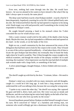Even now, nothing had come through into the lake. He would have known—he was too attuned to his waters to have missed it. But what if the rip didn't always open in exactly the same place?

The deep water had been exactly what Drakjan needed—exactly what he'd been desperately, hopelessly yearning for as his life's blood spilled freely onto dry dirt. He'd theorized before that the rip had opened in response to his dying wish. Death magic was wild and powerful, and if something in the vicinity had responded to Drakjan's need…

He caught himself pressing a hand to his stomach where his T-shirt concealed the scar he would always carry.

Only a water creature would wish for the safety of the depths when facing death. Maybe this time, the rip had responded to a different need and opened on dry land—in the woods, or on the banks of the river.

Right on cue, a small commotion by the door announced the return of the delegation that had been sent to look for the corpse in the woods. They'd found it, as one of the wolves reported breathlessly—it had taken them a bit of time to locate the spot Drakjan had described, but eventually they'd found the body right where he'd said it would be. They'd then brought the corpse straight to the medical examiner, and though the results of the autopsy wouldn't be in until morning, the examiner's first impression was that the man had died of multiple stab wounds made with a large knife, or something of the kind.

A silver-plated dagger, thought Drakjan. A thrice-folded cold-iron sword… or a spear.

\*\*\*\*

The sheriff caught up with him by the door. "A minute, Julian—We need to talk."

Drakjan's mind was crowded with too many memories and old thoughts, caught in a world he'd left long ago. It took him a long moment to even understand the wolf was talking to him, because she was using the wrong name.

"I spoke to my cousin the other day," the sheriff was saying. She captured his gaze and held it, direct, hard, and even. Her voice was just as steady and deliberate, and she was balancing her entire body lightly on the balls of her feet. "You know, the one who lives up north, by the ocean."

Several heartbeats passed before Drakjan recalled himself enough to lower his eyes. He'd conceived of "Julian" as a harmless and retiring man, not someone who would willingly get into a dominance battle with one of the top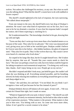wolves. Not unless she challenged his territory, at any rate. But what on earth was she talking about? What did the sheriff's cousin have to do with stabbed or frozen corpses?

The sheriff's mouth tightened at his lack of response, her eyes narrowing. "We talked about merpeople."

From one instant to the next, the sheriff held every last drop of Drakjan's attention. He wasn't sure what kind of expression was on his face, but it was sure to be far too dramatic a reaction. It was clear his response hadn't escaped her notice; she'd been expecting it, watching for it.

He'd underestimated her. The knowledge clenched in his gut, drawing him up cold and tight.

"Turns out they don't swim up rivers more than a few hundred meters or so because of the water. They only live in saltwater." Her voice was measured and cool, giving away just as little as her watchful gaze. Drakjan couldn't believe he'd never seen this in her before—this hidden hardness, the glint of tempered steel. "They also live in pods. They're like wolves that way. My cousin's never even heard of a merman who lived alone."

Air rasped in his lungs like dust, but he'd caught himself now. She'd taken him by surprise, that was all. "Sounds like your cousin needs to check his facts." His tone was perhaps a touch too cold, but even Julian could be forgiven for taking exception to such nonsensical suspicions. "I'm doing very well in my lake, thanks. And I enjoy being on my own. People get on my nerves."

She didn't respond and didn't look away, just held his gaze. He couldn't tell what she was thinking at all. Everything seemed possible, and his breathing slowed, his body relaxing into readiness as everything around him grew as clear and sharp-edged as ice.

"Julian," she said then, low and hard. "I'm not blind. Do you think I can't recognize a lone wolf just because he has fins instead of paws?"

Drakjan blinked, thrown off-balance all over again. A lone wolf…? He was certain he'd heard that right, but it made no sense.

"Whatever happened with your pod, it doesn't matter." The sheriff was still staring at him, all steely no-nonsense intensity, but he had no idea what to make of her expression anymore. "What matters is the present. What matters is that you're here now. You belong with us now. So come into town more often, Julian. It isn't good for a social creature to be alone."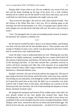Drakjan didn't know what to say. He was suddenly very aware of his wet feet and the damp climbing up the legs of his jeans. For a wild, reckless moment all he wanted was for the sheriff to look down and notice, just so he could find out what bizarre explanation she might come up with.

"Stay in town for the night," she went on, with a hint of gruff warmth. "Just tell Donna at the White Hart that I sent you. We're meeting again in the morning, once the second autopsy is in. Also, I'm going to get a phone with a solar charger you can take back to the lake with you. We need a way to keep in touch."

"I see," he managed at last. It came out sounding mostly neutral, if maybe a bit bemused. He counted it a definite win.

\*\*\*\*

By the time he reached his lake's shore it was almost midday, and Drakjan was done with dry land and all who dwelled upon it. These people were still strange to Drakjan in many ways, and he was growing more and more certain that he would never truly understand them.

Good. He didn't want to understand them too well. Thinking the way they did had to be highly unpleasant, considering that two corpses had kicked off this amount of general panic and dismay. He had no idea what the actual point of the meetings had been. To him they seemed like a pointless exercise in wolves and bears assuring each other that swift measures of an unspecified nature would be taken, while cougars looked on in fidgety silence and wished themselves a thousand fathoms away.

Drakjan's feet hurt. His eyes were itchy and hot, his tongue dry. The taste of dust clung to the back of his throat, and he felt sticky with sweat, heat, and dirt. The feeling was not unfamiliar, even though he couldn't remember the last time he'd spent this much time on dry land. He didn't try to remember very hard, truth be told. It hadn't been in this place, and Drakjan was content to let the distant past blur into obscurity, the veil of time blunting the sharpness of steel, blood, and dead, brackish water.

He dropped the backpack and kicked off his sodden shoes with relief, his eyes already locked on the clear depths that awaited him. Apart from everything else, he was so hungry. He'd barely been able to force down two mouthfuls of the coarse, bloodless fare the wolves considered breakfast. Where Drakjan came from, werewolves did not eat bread and hard-boiled eggs. Not that he'd ever met one, up close and personal… not that he'd ever wanted to.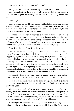He sighed as he tossed his T-shirt on top of the wet sneakers and unbuttoned his jeans, skimming them down his thighs. He'd put his clothes away properly later, once he'd spent some sorely needed time in the soothing embrace of the—

#### "No! Stop!"

Drakjan turned too quickly and almost lost his balance, his jeans tangled around his knees. The low bushes right next to him erupted with the form of a man, and in the next instant a hard shoulder plowed into his stomach, folding him over and stealing the air from his lungs.

He staggered back, barely managing to stay on his feet and not fall over his own jeans. His instincts were screaming at him to batter with his tail, slice with his fins, but he couldn't. Even his useless legs were constricted, and the attacker had gotten a firm grip around his middle and was pushing him over the uneven ground, forcing him to stumble backwards and off-balance, away—

Away from the lake. Away from the water.

Desperation shot through Drakjan in a wave of ice-cold determination and clarity. The world slowed and stilled as though it had dipped underwater. He stopped trying to resist the hunter's force and gave in, stepped back to buy a moment of balance. It worked, and it was enough to let him twist to the side and bring down an elbow on the back of the hunter's head. The blow failed to connect properly, but the glancing impact made the hunter falter briefly and gave Drakjan another small opening. He seized it without hesitation, throwing himself further to the side and twisting in the hunter's grasp like an eel, gaining just enough space to aim a vicious knee at the hunter's face.

He missed—damn those jeans—but the hunter's grip loosened further. Drakjan expected a dagger to the gut at any second, but it never came.

He kicked at the hunter's knees this time, brought his hands together to punch down on the back of the man's neck, and then finally tore free of his weakened grasp.

The hunter was blocking his way to the water. Drakjan retreated quickly, backing down the path that led away from the lake even as he hastily pulled his jeans back up. He needed an alternate route to the water. The underbrush here was too thick to break through quickly, but just a little farther on, the shrubs gave way to grasses and low brambles. Maybe he could dodge—

Surprisingly, the hunter was following him fairly slowly, making no move to lunge at him again. Perhaps he was content with driving him farther away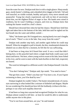from the water for now. Drakjan took him in with a single glance: Sharp steady gaze, sturdy hunter's clothing, and a sheathed silver dagger at his belt. Tall and well muscled, no visible wounds, healthy and quick, every move smooth and purposeful. Young but clearly experienced, and with no hint of uncertainty about him, not the slightest flicker of anger or fear. His hands were raised in readiness, but he wasn't holding a weapon, and even so, Drakjan knew that rushing this hunter would be a fool's choice.

Should have drowned him when he had the chance. Should have held him tight and taken him to the bottom of the lake, held him until he sighed out his last breath into the water and stilled, cooled—

"Idiot," the hunter spat. He'd stopped now, staying barely two arm's lengths out of reach. "There's a nix in the lake. Stay away from the water!"

Drakjan took another step back, and another again before he could stop himself. When he struggled to pull in breath, the thin, insubstantial element he inhaled was so alien that for a moment, he felt like he was suffocating.

It had been so long since he'd heard that word. It was a word that didn't belong here, in this peaceful land where a single dead body could cause such shock and horror. Not here, where young wolves swam in his lake, bears fished in his river, and he went to meet with the land-dwellers in their hall, respected, not feared.

The word *nix* belonged to a different world. Like Drakjan himself. Like this hunter.

"You don't belong here," Drakjan said, lips numb. "You need to leave."

That got him a snort. "Didn't you hear me? You have a nix. If you'd gone swimming in there, you'd be dead by now."

Drakjan laughed; he couldn't help it. The hunter misunderstood, of course, eyes narrowing in what looked like a mixture of disbelief and disgust. Maybe he was wondering if he should just have left the foolhardy civilian to his fate… perhaps it was what such stupidity deserved.

It had been so long since anyone had recognized Drakjan for what he was. Drakjan almost wanted to tell him—at least he would be able to understand, unlike anyone else in this place.

"You're not from around here, are you," he said instead.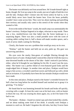The hunter was definitely not from around here. He'd made himself right at home, though. He'd set up camp in the woods, just out of sight of both the river and the lake. Drakjan didn't venture into the forest unless he had to, so he would likely never have found the hunter here. Even the bears probably wouldn't have come across him. They were lax about marking and patrolling their territory and usually only came to this stretch of the woods when they wanted to fish.

Even in the midst of the bears' woods, the small camp was unmistakably the hunter's territory. Drakjan lingered at its edges, reluctant to step inside. There was a low, mottled-brown tent that faded into the forest landscape to a surprising degree. There was also a small portable stove with the scent of cooking rabbit curling from it, half a dozen self-made wooden spears, and a stack of arrow shafts waiting for fletching.

Clearly, this hunter was not a problem that would go away on its own.

"Hraban," said the hunter and held out an arm, palm up. His gaze was unswerving and direct.

His eyes were the murky blue-green of sunlight filtering through the topmost layers of water. Drakjan hadn't noticed this when he'd left the man in a near-drowned bundle on the shores of his lake—hadn't noticed it just before, either, when he'd thought he was fighting for his life. It wasn't just the eyes, either. The hunter was a perfect blend of even-featured good looks and the rough-edged hint of danger. In another time and place, Drakjan would have sung to him across a crowded waterfront tavern and followed up with a drink and an invitation. It'd probably have been the last mistake Drakjan would ever have made.

In this time and place, Drakjan stared at the hunter's extended forearm for half a beat too long before he recalled himself and reached out to grasp it in greeting. "I'm Julian."

He found that he was humming beneath his breath and broke off quickly, covering with a cough. At least the water was at his back now, with no hunter to block the way. He was wearing his shoes again, too, so he'd be faster if he had to run.

The hunter—Hraban—found two metal cups and what looked like a kettle, and set about making some kind of hot drink. It actually took Drakjan a moment to catch on. He hadn't forgotten the old rules, but they'd never been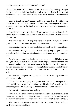relevant here before. Still, he knew what Hraban was doing. Inviting a stranger into your home and sharing food or drink with them invoked the laws of hospitality—a quick and effective way to establish an official truce between humans.

Drakjan found the man's proper, traditional ways strangely settling. He didn't hesitate when Hraban offered him both cups, choosing one at random and satisfying his part in the ritual by taking a sip of something too pungent and far too hot.

"How long have you been here?" It was too abrupt, and he knew it. He should have found some kind of lead-in, or at least waited until Hraban lowered his own cup.

The hunter took his lack of polite restraint in stride, though, and didn't pretend to be confused about the meaning of the question. "Four days."

Four days in which two violent deaths had occurred. Hardly a coincidence.

Hraban didn't ask anything in return, didn't do anything except stand there and calmly sip his drink, his attention steady on Drakjan over the rim of his cup.

Drakjan was many things, but he had never been patient. If Hraban wasn't going to ask for information, Drakjan would simply provide it for him and consider the debt repaid. "We found a corpse by the river two days ago. The medical examiner says it was stabbed multiple times in some kind of violent altercation." Belatedly, it occurred to him he should have said "he," not "it." Oh well.

Hraban raised his eyebrows slightly, cool and still as the deep waters, and still did not speak.

If that's how he was going to play this, that was fine by Drakjan. Even leaving aside the obvious next question—to which he didn't actually need an answer anymore—he had plenty of things left to ask. "What was it?"

"Werewolf," Hraban said, and nothing more.

Drakjan choked on an involuntary bark of laughter, because of course it had been a werewolf—of course it had. He wasn't surprised that the reaction made the hunter's gaze sharpen, a slight vertical line appearing between his brows.

This time, he didn't have to wait for Hraban's question. "What made you say I'm not from around here?"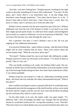"Just that—you don't belong here." Drakjan paused, reaching for the right words to describe something he'd never fully understood. "You don't fit this place, and I know there's a rip somewhere near. A rip that things from elsewhere come through sometimes." Two times that he knew of, so far. "I haven't been able to find it from here. I don't know how it works. But I do know it's there, and it's obvious you're from the other side."

Hraban's brows seemed to be the most expressive part of his face. Without additional cues from the rest of his features or body, it was hard to say what their slight upward quirk meant. It could have been simple acknowledgment just as easily as a request to elaborate, or even an expression of disbelief. "And you know this because you came through the same way."

Not a question—but then, it wasn't Hraban's turn to ask. He was just angling for free additional information.

It occurred to Drakjan then—quite without warning—that this kind of thing might well be more common than he knew. There were rumors about the secrets hunters kept. "What do you know about rips?"

"Not much." Hraban turned his cup in one hand, idly shifting his weight. Drakjan tried not to tense too obviously at the motion. "I've heard of them as portals. They're very rare."

That was hardly anything at all, really, but Drakjan didn't push. Not yet. Instead, he did his best to look friendly and harmless as he took another careful sip of the beverage Hraban had given him. Now that it had cooled down a little, it was almost palatable.

Hraban swept his cup around in a wide arc, indicating everything around them—the forest, the river and lake, the valley and mountains beyond. "What is this place?"

How could he even begin to answer a question like that? It would take hours to adequately describe the strangeness of the sheriff and her wolves, never mind the bears and the cougars, and the way the were clans had divided everything up into territories they ruled in a joint council.

On the other hand, at its core, the matter really was quite simple. "It's different. Safe." Soft, he thought, but didn't say. Strange, like the unrealistic dream of a world that could never be—except that somehow, it was. "Peaceful. There have been two violent deaths since you arrived, but before that, there was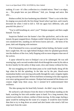nothing. It's not—It's like a reflection in a clouded mirror. There's no edges, no… The people here are just different." Soft, yes. Strange and naive. But also…

Hraban scoffed, his face hardening into disbelief. "There's a nix in the lake. Its singing was practically the first thing I heard when I got here, and it nearly drowned me when I tried to kill it. Tell me again how different, safe, and peaceful this place is."

"You're still breathing air, aren't you?" Drakjan snapped, and then caught himself. Too late.

Suspicion flashed over the hunter's face like quicksilver, and in the next instant, his gaze snapped down. Drakjan couldn't help but follow his gaze to his own sneakered feet, standing on old brown leaves and soil… the hems of his jeans, dark and dripping with moisture.

If he'd hesitated for even a second longer before bolting, the hunter would have caught him. He was right behind Drakjan when he splashed gracelessly into the shallows of the river, belly flopping with no more elegance than one of the wolves.

A spear whirred by next to Drakjan's ear as he submerged. He was still wearing legs, and a second wooden shaft sliced through the water by his side as he dove hastily for the safety of deep water, slow and clumsy without his fins.

He was struggling out of the damn jeans so he could finally shrug off the legs when he felt the splashing. In the lake out by the pier, blood-warm mammalian bodies were moving awkwardly through the water, irregular ripples racing outwards like a signal. Wolves had been swimming in his lake regularly ever since spring passed into summer. Drakjan had assumed all the drama over corpses might keep them away, but it seemed he'd underestimated their resilience.

The idea sprang into his head fully formed—he didn't stop to think.

He surfaced a safe distance from the shore to find Hraban standing on the bank, watching for him with another spear in hand. For a long moment, they stared at each other in silence, neither of them moving. At this range, hurling a spear would be nothing but the waste of a weapon. It would be more foolish than that to try to drag down an armed and alert hunter who stood a full two steps back from the water.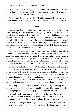On the other side of the rip, this could only have ended with death. But then… back there Hraban would have drowned when they first met, and Drakjan would have bled out on dry land long ago.

"There's people bathing in the lake," Drakjan shouted. "Thought you might want to know." He flipped his caudal fin showily into air as he dived, just to be obnoxious.

\*\*\*\*

Drakjan usually stayed as far away from bathers as he could. When they turned up to spread their blankets on the open, grassy patch of ground by the pier, Drakjan swam towards the snow-capped mountains that bordered the far reaches of the lake. Sometimes he went all the way into the cliff-edged valley that split off from the main body of the lake, drinking in the deep, rock-edged silence. There were caves down here, some large enough for him to enter, others too small to serve as anything but a home for tiny fish that darted around him in silver swarms when he got too close.

Now, he headed for the warm bodies in his water at full speed, cutting through the distance between them in an instant. He surfaced with a showy splash that made the smaller wolves shriek and giggle. He knew these particular bathers… They'd asked his permission to swim some seasons back, and returned regularly. Three of them were on the shore, lounging on two large blankets, while one older and four younger ones paddled around in the water.

By the time the hunter caught up, Drakjan had exchanged friendly inanities with the parents on the shore, declined the offer of a pastry, assured them he'd let them know if the kids got too noisy, and discovered that the wolves in the water thought it was funny when he scooped water on them with his fins. He considered grabbing the littlest one and dragging her along the surface of the water at speed. She would have loved it, but he chose to stay put in the end she was shrieking more than loudly enough to lead the hunter here, anyway.

His timing could not have been better. The hunter was just bursting onto the scene when Drakjan took on legs to stand in the waist-high water, the littlest wolf clinging to him with a wide, gap-toothed smile on her face.

Hraban froze. His gaze darted from Drakjan to the people in the water to the three sitting on their blankets. Everyone turned in surprise at his sudden appearance and several of the wolves exclaimed at the spears in his hand.

Drakjan had thought there might be shouting, or threats, or other such useless and annoying things. There weren't, though. The hunter merely prowled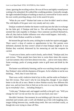closer, ignoring the recoiling wolves. He was all focus and tightly wound power waiting to be unleashed. He walked like a stalking predator. Ironically enough, the sight reminded Drakjan of nothing so much as a werewolf he'd once seen in his own world, prowling along a river in his search for prey.

"What do you want?" Hraban had come so close he didn't need to shout. The cold depths of his gaze were very steady and very calm.

Drakjan wondered whether the hunter would step into the lake in exchange for the little girl, if Drakjan told him to. The self-sacrificing thing always seemed like rank stupidity to Drakjan. Once someone sacrificed themselves, after all, they had no further influence over what would happen. And really… he didn't think Hraban would be so foolish.

He hoisted the girl into his arms, tickling her to make her squirm and giggle. There wasn't a drop of caution or apprehension in her. Her parents were definitely alarmed, but they weren't afraid of what Drakjan might do. It was Hraban they watched, distressed by his menacing air and the weapons he carried.

"I want you to listen, and to watch closely, and to think," Drakjan said, low and vicious. "These people have been here to swim three times this season. Late last summer, they were here almost every day... and so were many others. Some evenings, packs of young people come to grill meat and drink by the lake."

The hunter was definitely listening, and he was watching closely enough to flay Drakjan's skin with the sharpness of his gaze. As for whether or not he was thinking… Well, they'd soon find out.

There was a wild, vindictive kind of joy in this, and the smile on Drakjan's face felt vicious. That wasn't why he was doing this, though. It was simply better to do this all at once. Better to show Hraban exactly how different this place was, and not leave him to find out on his own in a way that might blow up in everybody's face… including Drakjan's.

"Little pup," Drakjan said, and tugged carefully at the girl's ear. "Will you change for me? Let me see how far you can turn back your ears."

She didn't hesitate. One moment, he was holding a girl; the next, her shape stretched and twisted, and a wolf cub blinked up at him with laughing eyes, tongue lolling between tiny, needle-sharp teeth. Her ears twitched crazily, as though she were trying to chase off flies.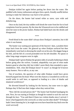Drakjan tickled her again before putting her down into the water. She paddled with clumsy enthusiasm and gave him a quick, friendly snuffle before turning to make her laborious way back to her parents.

On the shore, the hunter had turned white as snow, eyes wide and disbelieving.

Once on dry land, the tiny sodden wolf shook the water from her fur to loud complaints from her parents. By the time she'd bounced over to be cuddled and stick her nose in the picnic basket, Hraban had faded back into the shrubs and disappeared.

\*\*\*\*

Fresh blood in the water didn't always draw Drakjan's attention, but it did when it was human.

The hunter was waiting just upstream of the beavers' dam, a prudent three steps back from the water. He glanced up when Drakjan surfaced but then immediately went back to dressing the small cut on his arm. His dagger hung at his belt, and the hilt of a sword protruded over his left shoulder. No spears or other long-range weapons were in sight.

Drakjan hadn't given Hraban the greatest odds of actually bothering to think before going after the wolves. Granted, adaptability was part of what made hunters good at what they did, but it didn't seem likely that extended to openmindedness. Still, what did Drakjan know? It wasn't as though he'd known many hunters. Not to talk to, at any rate.

Out of nowhere, the question of what odds Drakjan would have given himself popped into his head. What were the chances a wounded nix on the run would settle in well here, as opposed to leading to a slew of deaths and shattered worldviews?

He diverted himself by looking for the beavers, but none were in sight. Perhaps they'd fled into their lodges when they noticed him.

"How did the second person die?" The hunter had finished bandaging his arm. Now, he was staring at Drakjan as though he wanted to suck his soul out through his face. "You said there'd been two violent deaths since I arrived. I know what happened to the werewolf, so what was the other death?" If Drakjan hadn't been listening for it, he might not even have heard the tiny hitch over the word *werewolf*.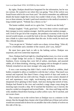By rights, Drakjan should have bargained for the information, but he was too curious. He wanted to see where this was going. "One of the wolves was found frozen solid in his own front yard." He tried to remember any additional details the hunter might like to know but couldn't think of any. After the first two or three minutes, he hadn't paid much attention to the medical examiner's long-winded speech. "Nobody has a theory so far."

The hunter nodded, mouth set in a grim line. "I need to see the body."

Drakjan laughed. "Yeah, good luck." Not even these wolves would open their morgue to every random stranger. And this particular random stranger… well. Even if he got rid of the weapons, the predatory economy of the way he moved would remain, as would the look in his eye. Hraban had made himself into a blade in a place much harsher than this one. In this world, he stuck out like a bloody harpoon.

"You can get me in." Hraban's smile was a sharp, vicious thing. "After all, you're a freeholder and a member of the council, aren't you, Julian?"

He must have gone back to talk to the bathing wolves. Drakjan was surprised, and even somewhat impressed.

Once, Drakjan had lived right by a bustling harbor town, in a river so wide only a single bridge led across it. Drakjan remembered the taverns with fondness. Every evening they were full of sailors, merchants, and assorted rabble, all of them drinking, whoring, and singing with no thought of caution. Nobody remarked on one more stranger who sang with them.

It was a rare morning that didn't find a wash of blood on cobbles, dead bodies crumpled in alleys or tumbled in with the day's refuse. That much was normal and expected. But there'd been a long stretch of days and weeks in which the harbor had run wild with fear. People on street corners shouted of evil and repentance; every night, torch-bearing mobs roamed the streets, sharpened silver glinting in their hands. And once during that stretch of time, Drakjan had floated in the river and watched a rangy shape creep along the mooring ropes towards a ship. He'd watched the boneless way it moved, the muscles corded on elongated and twisted limbs… the claws and fangs and the wild, mindless blood-thirst burning in sulfur-yellow eyes. He'd watched, and not swum closer.

That creature was to the wolves here as Drakjan was to a minnow in the stream. But the thought that a hunter who'd just killed one of those real wolves would turn around and sit down for an amiable chat with a family of wolves on this side of the rip…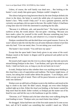Unless, of course, the wolf family was dead now… But looking at the hunter's cool, steady lake-green gaze, Drakjan couldn't imagine it.

The silence had grown long between them by the time Drakjan drifted a bit closer to the shore, the better to watch the subtle play of expression on the hunter's face. "Why would I help you?" It was a genuine question, and his curiosity was perhaps a bit too open in the tone. He couldn't help it. It had been a long time since he'd felt this interested in anything but his lake.

"Because it is different, safe, and peaceful here." The hunter quirked an eyebrow at him, the words almost—but not quite—mocking. "Because you have made a place for yourself in this world. Because something may have come through the portal with me, and whatever it is, it must be stopped."

Drakjan considered this and decided those were good reasons. Even so, he wasn't about to take the risk that this was all some elaborate scheme to lure him onto dry land. "Give me metal, then. I'm not taking your word alone."

The hunter's face twisted. "You still have my spear."

Except that the spear hadn't been freely given in any sense of the word. Drakjan stared at the hunter in disgust until he grimaced and pulled out his money pouch.

He tossed a half copper into the river in a showy high arc that only narrowly missed hitting Drakjan in the chest. "I am Hraban, and I give this metal to you freely. I shall not harm you, so long as you do not harm me in turn."

In truth, Drakjan had no idea whether there was anything more binding to this ritual than a mix of superstition and tradition. The hunter might know, of course, but asking him would rather defeat the purpose. "I am Drakjan, and I freely accept your gift of metal. There will be peace between us until the sun sinks into darkness."

Hraban wore an odd look as Drakjan swam to the shallows and stood on his legs to climb to dry land. He didn't attack, though, not even when Drakjan walked right up to him. Either the ritual was binding, or the hunter wanted his help more than his death. Either worked, so Drakjan put the matter out of his head for now and led the way to the boathouse to get his clothes.

"Drowner, is it?" Hraban said a bit later when they were walking along the road leading to town. "Drakjan suits you much better than Julian."

He shrugged. Julian had been one of the first male names he'd come across here, and all he'd needed was something that wouldn't stand out. Which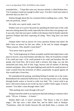reminded him… "I hope Ben suits you, because nobody's called Hraban here. You're going to stand out enough in other ways. You don't need your name to advertise that you don't fit."

Hraban thought about this for a moment before nodding once, curtly. "Ben suits me perfectly, Julian."

He really was a quick study, wasn't he.

Hraban went on to prove the point by spending the better part of the walk into town asking about this world, especially the wolves they were going to see. It was only when the town grew visible in the distance that he finally asked the question Drakjan had been expecting all along. "How long have you been here?"

Drakjan hadn't had an answer for every question Hraban had asked. He didn't have an answer for this one, either. In the end, he simply shrugged. "Many seasons. Why should I count them?"

"You never tried to go back?"

"No." In the beginning, he'd been wounded, and this had simply been a safe place to recover, away from hunters and other nix. Then, he'd started to wonder if he could just stop—if he could pretend to be weak and harmless like the people who lived here. He'd never held a territory this large, nor one this untouched and clean, full of fish, frogs, beavers and all manner of thriving animals and plants. After a life spent fighting tooth and fin for small pockets of water wrested from the territories of others, perpetually on guard against all who would take it from him…

He remembered the grating, unsettling feeling of another nix in his water. Remembered the unmoored hollowness of not having territory at all, darting through hostile waters or forced to walk over land. "No, I never tried to go back. I did want to keep an eye on the rip, but I couldn't find it again. It moves around—You didn't come through where I did."

"Did anything else come through with you?"

Drakjan bared his teeth in an expression that had nothing in common with a smile. "Oh yes. A human… A hunter."

Hraban didn't ask. It wasn't necessary. "The theory is that it's death magic." His lips were a thin white line, and he didn't look at Drakjan. "Sometimes, when the border between life and death thins, a creature will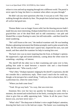refuse to cross and end up stepping through into a different world. The portal is never open for long, but there is a moment when others can pass through."

He didn't ask any more questions after that. It was just as well. They were walking through the suburbs by then. The people here lacked many things, but all wolves had good ears.

\*\*\*\*

Thomas Baker was no longer frozen solid, but the thawing process hadn't made him any more interesting. Drakjan looked him over once, took note of the grayish-blue cast of the dead flesh and its odd consistency—not pale and bloated like a corpse floating in water, but still noticeable—and then found his mind wandering.

"He's still frozen at the core," the medical examiner said. He was handing Hraban a gleaming instrument that Hraban promptly used to poke around in the body. He felt around the dead man's sparse hair, inspected his eyes, ears and mouth, and then asked the examiner for help in turning him over.

The back view was no more inspiring than the front, in Drakjan's opinion. He suppressed a sigh and turned aimlessly, casting about the white room for something—anything—of interest.

The sheriff left the other two to their examining and came over to him, pulling him aside to stand between a massive sink and a clear-fronted refrigeration unit. "Who exactly is he?"

"That's Ben," Drakjan repeated. Judging by the sheriff's expression, she did not consider this a satisfactory reply. There wasn't much else he could say, though, so he just gave her a small shrug. "I told you, this is what he does. He's a policeman too, where he comes from."

"Where you both come from."

"Yeah. We go way back." In a way, that was even true.

Emotions flew over her face too quickly for Drakjan to catch. After a moment, she snorted and rocked back on her heels, crossing her arms over her chest to give him an oddly appraising look. "Julian. In all the years I have known you, you have never once—"

"What's this?" The sharp note in Hraban's voice caught Drakjan's attention, drawing him back over to the laid-out corpse. The hunter was examining the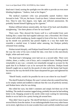dead man's hand, turning the spotlight over the table to provide an even more blinding brightness. "Andrew, look at his fingers."

The medical examiner—who was presumably named Andrew—bent forward to look. "Oh yes, the burns. Good eye there, I almost missed them at first. They're only first degree, very light, and inflicted antemortem. He probably burned himself lighting up his cigarette."

Hraban stiffened almost unnoticeably, the lines of his back and shoulders straightening. "Are there photos of how he was found?"

There were. They showed the frozen wolf in a well-tended front yard, looking like a statue that had toppled sideways into a flowerbed. He'd been frozen solid while standing up, hands cupped in front of his face. In the closeup his mouth was puckered, lips pursed slightly in a way that made him resemble a startled trout. It looked rather amusing, but Drakjan politely refrained from smiling.

Hraban turned abruptly, and Drakjan found himself struck all over again by the way the color of his eyes evoked the lake, even here in this mercilessly bright, white-and-steel room.

The dead man's belongings were laid out on a second table. There were clothes, shoes, a wallet, a set of keys, and a crumpled tissue. Nothing looked remarkable in any way—certainly not remarkable enough to account for the spark that lit in Hraban's eye as he surveyed the collection. Drakjan found himself caught not so much by the puzzle of what trail the hunter had found, but more by the way the thrill of the chase sharpened his gaze and tightened his stance.

"Sheriff Smith, would it be possible for me to see where he was found?"

The sheriff looked to Drakjan. He wasn't certain what she wanted from him, so he simply smiled and nodded to indicate that this was all perfectly normal, and Hraban knew what he was doing.

She rolled her eyes, but didn't comment and simply led them out of the building. The medical examiner tagged along, probably because he had nothing better to do. Hanging around in his sterile white room waiting for interesting deaths to occur had to be a pretty boring job around here.

They didn't have to go far. The sheriff led them to a small two-story house several blocks from the station. It was indistinguishable from every other house on its street, right down to its neat wooden fence and carefully tended lawn and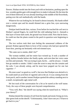flowers. Hraban strode into the front yard with no hesitation, pushing open the low, wooden garden gate with enough force to make it rebound. By the time the rest of them followed, he was already kneeling in the middle of the flowerbeds, patting over the soil methodically with flat hands.

Whatever he was looking for, he found it almost instantly. His hands stilled over a certain spot and his mouth thinned into a grim line, eyes narrowing dangerously.

Drakjan knelt beside him, curious. Even before he touched the soil next to Hraban's spread fingers, he could feel the cold radiating from it—beneath a thin layer of loose dark earth, the ground was frozen solid. Now that he knew, he could see that the plants rooted in the patch in question were beginning to droop.

The two wolves took their turn feeling the unseasonal coldness of the ground. Hraban ignored them in favor of the woman who had just opened the front door, peering out hesitantly with red-rimmed eyes.

"He came out to smoke, didn't he?"

The woman nodded, and her entire face twisted up. It took a number of long, shallow breaths before she finally spoke, and even then her voice came out thin and unsteady. "He was trying to quit, but he… and he always—I made him go outside to smoke. I didn't want the scent to seep into the curtains and the sofa. I was already asleep, and he must have popped out for one last cigarette—"

His nose wasn't as good as a wolf's, but now that Drakjan was alerted to it, he could smell an acrid hint of cigarette ash in the air. It was coming from the front porch, and in another instant Drakjan spotted the ashtray standing next to a small, exceptionally ugly metal wolf.

He lost track of the conversation for a bit as he stared at the wolf statue. Truly, the ways of these people were beyond comprehension.

"Very well, Ben," the sheriff was saying when he tuned back in. "What's your theory?"

Hraban dusted the remains of soil from his hands and stood, fixing an even, lake-green look on the sheriff. "Unfortunately, I don't have one yet. I'll have to get back to you."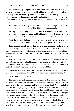Hraban didn't say a single word to him after they'd taken their leave of the wolves. He stopped at a restaurant, and Drakjan sat across from him in silence, watching as he methodically worked his way through various grilled animal parts. Drakjan was hungry too, but nothing about the thought of choking down dead, bloodless things appealed to him. He could wait until he was back in his lake.

The silence held as they walked out of town and through the suburbs. Drakjan's feet hurt again, but he'd be rid of them soon enough.

He sang a drinking song that reminded him of harbor inns and whorehouses. It was meant to be sung in canon, and Drakjan chose it partly to see whether Hraban would join in. It seemed relatively unlikely, but you never knew.

Next, he chose a ballad, something haunting and sweet. He was just contemplating his next choice when Hraban finally spoke. "It's a matchgirl."

The name evoked only the most distant of memories in Drakjan. He'd never met a matchgirl, could barely recall having heard of them. Hraban had suspected as soon as he saw the burns on the victim's hand, though; it had been as clear as the nose on his face. The frozen ground had just confirmed his theory.

And yet, Hraban hadn't told the sheriff a thing about the threat her clan faced. Surely he didn't intend to sabotage her efforts to protect her wolves? It didn't seem like something a hunter would do. Neither could it be simple lack of trust. He didn't trust Drakjan either, but he'd told him.

"Are there matchgirls here, too?" Hraban's lip curled. "What do they do, I wonder… Sell refreshing drinks? Cool you down on a hot summer day?"

"Why didn't you tell them?"

The answer was so long in coming that Drakjan didn't think he'd get one at all. They were almost at the last crossroads before Hraban spoke again, and his voice was so low that Drakjan had to strain to understand. "I was called to investigate a hag-sighting once. By the time I arrived, half the village had burned down, and farmers were lynching their neighbors in the streets. Not a single woman over the age of twenty was left alive." His smile was a thing of hard edges, sharp enough to draw blood. Judging by the pained twist to his mouth, it cut Hraban himself most of all. "I couldn't find any sign that a hag had ever been there. There are always signs with hags… killing fields, stripped trees, nests. But there was nothing. No hag had set foot in that village, and yet it was destroyed as completely and horribly as any creature could have."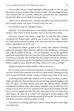It was a good reason. A single matchgirl could not hope to cause as much devastation as the awareness of her existence would—the knowledge that there were creatures like her out there, destructive and powerful and completely, inexplicably alien to everything these people knew.

"There are no monsters here," Hraban said softly and turned his head to give Drakjan a hard, even look. "It needs to stay that way."

No monsters except me, thought Drakjan.

Abruptly, he realized that the sun was dipping dangerously close to the horizon. They'd have to hurry to make it back to his lake before dusk.

The truce of metal only lasted a single day. For the first time, Drakjan wondered why Hraban hadn't opted to stay in town for the night… whether he'd had ulterior motives in going to the restaurant when he could just have gotten something to eat on the way.

He studied the hunter's profile as they walked, their shadows stretching against the pavement. Short dark hair, high brow and cheekbones, a strong jaw dark with the stubble of the day… He was handsome, yes, but his superficial good looks paled before the fierce intensity of the soul blazing behind his eyes. It had been a long time since Drakjan had met another soul like his. He hadn't realized he'd missed that spark of recognition, that frisson of danger—not until Hraban caught his gaze, and the only thing written in his eyes was death.

Drakjan recognized another predator when he saw one.

He was tired, and he ached from long hours of walking in the air and dust and heat. None of that mattered as he took in a deep breath, throwing back his head to sing of the death of light, a song as wordless and ancient as the world.

In the deepening dusk, their shadows were as long and sharp as spears. Night was falling by the time they turned onto the unpaved path leading to the lake, dry grass crunching beneath their feet like delicate bones. Drakjan remembered feeling this alive. He'd almost forgotten it was possible for every instant to be so vivid, for every sensation to be vibrant and essential. The thin bite of cool air against his skin. The near-silent slap of the wet hems of his pants against his shoes as he walked. The chirping of crickets hiding in the grass, and the first salvos of birdsong starting up all around. The scent of earth and shrubs and forest, and the promise of water.

The threat of a prowling hunter next to him, a heavy presence with a light, near-silent step.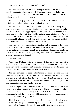Hraban stopped with the boathouse rising to their right and the pier beyond stretching out onto still, dark water. Drakjan took one more step before turning. Nobody stood between him and his lake, but he'd have to cross at least ten fathoms to reach it—maybe twenty.

The last hint of gray leached from the sky. Their truce dissolved with the last of the day's light, slipping away without fanfare.

Hraban's eyes were black as the lightless depths, his face and body stripped down to their essential hardness. He didn't have his spear, but Drakjan hadn't missed the shape of the dagger against his backpack's side. No doubt it was in some kind of special sheath that would drop the weapon into the hunter's hand in the blink of an eye. In truth, he probably wouldn't even need it. This was his element, not Drakjan's—and Hraban had killed a werewolf with a silver blade, and walked away with nothing but a few scratches.

Fear was the wrong word for the tension that built in Drakjan as they stood in darkness, entirely focused on each other. It was a low, thrumming energy in his gut and chest and throat, vibrantly alive, sparking with promise. The future was wide open and full of every possibility, branching out from this instant waiting breathless and charged.

Hraban moved.

Afterwards, Drakjan could never decide whether or not he'd moved to attack. It didn't matter, because Drakjan moved in the same instant, and then there were hard, solid shoulders beneath his hands and hot breath against his mouth as his lips crashed down too hard on Hraban's.

The taste of blood exploded on his tongue. He shifted to grab Hraban's head, turning it forcefully so he could slant their mouths together. The hunter was stiff and still against him for the space of a heartbeat, lips cool and unresponsive; in the next instant, he clenched rough fingers in Drakjan's hair and dragged him in with a grip like cold iron.

Drakjan laughed his triumph into Hraban's mouth. There was a hand at his back now, sliding immediately lower to grab his ass and crush him close. Drakjan lunged into the kiss, trying to knock Hraban off balance and gain the advantage. Instead, the hunter widened his stance to absorb the momentum and almost lifted him entirely off his feet.

The bright pain of teeth digging into his lip shot molten need straight to his cock. Hraban's low growl vibrated against his mouth. His blood-warm body pressed against Drakjan all along his front, solid with muscle and aggression.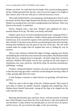Hraban was hard—he could feel the hot length of his arousal pushing against his hip. Drakjan groaned into the kiss, rusty iron on his tongue as he fought to take control, only to be met with just as wild and ferocious a force.

Their teeth clashed briefly, noses bumping, and Drakjan drew back to catch his breath. He felt almost light-headed from the heat of a body pressed so close. Hraban was staring at him, eyes black and gleaming in the darkness. There was blood on his mouth. It suited him.

Slowly, Drakjan took a step back. Hraban's grip tightened for only a moment before he let go. The delay was hardly noticeable.

Hraban's gaze never wavered as Drakjan backed away, stripping off his Tshirt and toeing out of his sneakers. Neither of them spoke and neither of them looked away as he crossed the expanse of dry land that separated him from his lake. He didn't look down even when he was skimming his jeans down his legs, kicking them heedlessly into the grass by the foot of the pier. The old wood creaked under his weight when he stepped back onto it, finding his way by memory.

Above water, darkness softened the edges of things, sapping away details and drabbing the world down into muted tones and outlines. But Hraban looked clearer this way, stripped down to essentials—all sleek, sharp lines of muscle and bone. Shadows fell harshly over his face, picking out the stark shapes of cheekbones, jaw, nose, and brow. And all the while, he watched, motionlessly, unblinking—waiting.

*Predator*, whispered Drakjan's instincts, the same way they had whispered to him that day long ago when a wolf had crawled along the mooring cables of a ship, passing right above his water.

It took Drakjan a moment to realize that he was grinning, wild and fierce and free.

When he came to the far edge of the pier, Drakjan paused. They stared at each other in silence for another moment, weighing and considering. Then, Drakjan threw himself backwards, casting off his legs as he slipped into the water and dove deep.

\*\*\*\*

Morning dawned pearl gray and hazy, heavy with the promise of coming heat. When Drakjan swam down the river to the beavers' dam and walked out into the hunter's camp, Hraban was already gone, as were his stove, his spears, and his arrows. He was not back that night, or the next morning.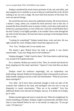Drakjan considered the newly drawn perimeter of ash, salt, and sulfur, and then stepped over it carefully so as not to drip on it and break the circle. He felt nothing at all, not even a tingle. He never had from barriers of this kind. Nix were not spectral beings.

He circled the tent twice, drawn by undefined curiosity. He'd never been in a hunter's camp, unless you counted his brief previous visit to this one. It seemed like there should be more to protect it than a circle that could easily be broken by a passing animal, or even a little rain. And why would Hraban leave his tent? Clearly it was highly portable, or he wouldn't have come through the rip with it in the first place. He must have been carrying it in his backpack back then, so why…

"Looking for something?" Hraban looked dusty, tired, and alert. He was right outside the circle; Drakjan hadn't heard him approach at all.

"Yes. You," Drakjan said. It was mostly true.

The hunter's gaze flicked down his body so quickly it was almost unnoticeable. "I put your things back in the boathouse."

Drakjan shrugged. "I didn't look for them." He'd have had to walk the long way around if he'd gotten dressed.

For a moment, Hraban just stared at him. Then, he snorted and shook his head, stepping over the camp's perimeter. "I guess it's true what they say about nix."

Drakjan raised his eyebrows inquiringly, but no explanation was forthcoming. Instead, Hraban let his backpack slide to the ground to pull out a bulky bundle, shaking it out into a stiff, foil-lined blanket. "What do you know about matchgirls?"

Very little—he'd never been interested enough to seek out tales of the creatures that walked on dry land, and matchgirls were too rare to crop up frequently in casual conversation. "They are to be avoided." Very few additional details were relevant for Drakjan, anyway. If in doubt, he'd simply go to water.

Hraban snorted again and went to unzip the tent. When he straightened, he tossed something at Drakjan. Drakjan caught it automatically and didn't have time to curse himself before he saw it was merely an empty pot. "If you get water, I'll make tea."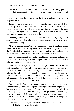Not phrased as a question, not quite a request; very carefully put as a bargain that was complete in itself, rather than a more open-ended kind of favor.

Drakjan grinned as he got water from the river, humming a lively marching song while he went.

Tea turned out to be a concoction of hot water infused by a variety of plants evidently gathered in the forest. Once he'd let it cool, it wasn't bad at all. Hraban settled on a low rock and waited until they'd both drunk, his gaze alternately on Drakjan and the surrounding forest. He devoted the same kind of focused, sharp-edged watchfulness to both.

Not unexpectedly, Drakjan found the attention woke a low, sparking hunger deep in his gut. He shifted a little where he sat in the dry leaves, crossing his legs more comfortably.

"They're creatures of fire," Hraban said abruptly. "They freeze their victims to feed their own flame, sucking all heat from the living things around them. They're attracted by need, yearning, craving… no matter what the object of the feeling in question. The stronger the need, the greater the attraction."

Drakjan sipped his cooled tea and watched the play of light and shadow on Hraban's features as the pieces fell into place in his mind. "No wonder she followed you through the portal, then."

What could be more powerful than the craving of a dying creature for life? For the matchgirl, the werewolf's need must have felt like a bonfire raging in the midst of a world of feeble, flickering candles. Why the new beavers had followed the wolf and Hraban through the rip, on the other hand… that was more of a puzzle. Fleeing from territorial disputes, perhaps? Drakjan had never truly understood the ways of beavers. It might just as well have been the draw of a good dam, or something else entirely.

"Yes, no wonder." A shadow clouded Hraban's expression, darkening his gaze to the murky shade of a still pond. "Matchgirls are almost impossible to find unless they're actively hunting. Fortunately, they can't attack at will. They need an opening… There must be a bargain, an agreement to an exchange between them and the victim. Any kind of taking or giving is agreement enough to satisfy a matchgirl's requirements. One matchgirl I heard of liked to pose as a rich merchant and prey on pickpockets."

In Drakjan's experience, humans made things far more complicated than they needed to be. "I assume she breathes air."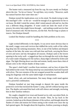The hunter took a measured sip from his cup, his eyes steady on Drakjan above the rim. "As far as I know," he said then, very evenly. "However, earth has natural barriers that water does not."

Drakjan turned the implications over in his mind. No doubt trying to take this matchgirl's life—or her air—would be enough of an agreement for her to cut loose. He didn't mind the winter, didn't mind natural cold and ice, but this was a different thing altogether. If water could not limit the reach of her powers, his entire lake might freeze through… and nothing would survive that kind of unnatural cold. Not the beavers, not the fish. Not the frogs or plants or insects. Not Drakjan himself.

Looked like Hraban would be handling this little problem on his own.

\*\*\*\*

Light worked differently in the depths. It was never more obvious than in the small, craggy caves and crevices that riddled the rocky walls of the valley dug deep into the outlying mountains. Here, in one of the farthest and deepest reaches of the lake, the water was cold and clear and fresh, carrying the flavor of rock and snow and sky throughout all seasons. Drakjan sank to the lowest opening in the rocky wall—a jagged tear that cut through the rock in the shape of a water snake whipping over the surface, sharp edges softened by lichen and algae. The light filtering down was dim and remote, hardly more than a hint of distant color in the vibrant shades of deep water.

The spear's shaft hadn't swollen from moisture, and no fuzz of plant life had settled on the wood. The sharp metal tip was untarnished, hard steel layered with silver. The torn remains of the net wrapped around the wooden shaft still stung his fingertips with the same faded tingle of enchantment.

Steel, silver, ash, and enchantment. Not many things could stand against such a powerful combination.

Drakjan breathed air just long enough to deposit the spear inside the protective circle that enclosed the hunter's camp, and left without having seen him. The depths welcomed him back with still silence and strength, enclosing him in their familiar embrace.

He caught a dappled river trout and feasted on its cold, succulent flesh, its blood bursting fresh and sweet into his mouth. Then, he lay back in the currents, looked up at the distant shimmer of the surface, and thought about the flashes of white and motion he'd been seeing in the woods ever since the rip had opened again. He thought about the hopeless, fruitless yearning so deeply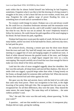sunk within that he almost fooled himself into believing he had forgotten, sometimes. Forgotten what it was like to feel the slowing of a living creature's struggles in his arms, to feel a heart fall into an ever-weaker, erratic beat, and stop. Forgotten the wild, ageless surge of power flooding his veins as something born of earth and air surrendered to him.

No creature could change its nature. Drakjan was a nix and always would be. He could live as a harmless freshwater merman until the mountains wore down to hills and his streams ran dry, and it still wouldn't make him anything but what he was. But he was not an animal. He wasn't helplessly bound to follow his instincts. He could choose his path regardless of the need singing in his blood. He *had* chosen his path, regardless.

Drakjan had long since swum past the rapids of youth. He bore the scars of many battles, and he was tired. So he had made his choice, and every day since, he had paid the price.

He surfaced slowly, choosing a remote spot near the shore most distant from the town and road. Dry land fell steeply into water here, forest and lake meeting in a jagged line of rock and hanging tangles of washed-out roots. A flash of white showed between the gnarled trunks of the trees, and Drakjan watched without surprise as a slight figure stepped into view on a rocky outcropping. She stayed carefully out of reach but was close enough for him to make out every detail of her dress and features.

Lank hair the color of straw straggled raggedly about her shoulders. Her face was thin and pale, all sharp bones and starved blue shadows. Her dress of nettle cloth was ragged, a grayish beige rather than white. It hung loosely on her frame, as though made for someone older and better fed. When she moved, her bare feet showed frail and white against the rock.

Her gaze was sky blue and ancient, heavy with the kind of ice-cold calm that came only from power. There was recognition in her look, in the slight lowering of her pointy little-girl chin. She recognized him the same way he recognized her: for all their differences, they were the same. They shared the same nature, the same hunger. The same deep well of darkness… the same ruthless predator's soul.

"Nix," she said. Her voice was thin and reedy, almost quavering. "Is this your water?"

A question… and one that needed no answer, at that. A transparent ploy. Drakjan did not reply, giving her nothing.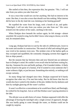She smiled at him then, the expression thin, but genuine. "Nix. I will not take from you unless you take from me."

It was a truce that would not cost her anything. She had no interest in his water. But then, it was also a truce that should cost him nothing. What interest did he have in the dry land she was claiming as her hunting ground?

He expelled the water from his lungs, took a breath of air, and spoke. "Matchgirl, I will not take from you unless you take from me." His voice echoed over the surface of his water, catching in the trees.

When Drakjan dove beneath the surface again, he felt strange—almost unsettled. He wanted to sing, but he didn't know what song to choose, so in the end, he remained silent.

\*\*\*\*

Long ago, Drakjan had lain in wait by the side of a different pier, lower to the water and sturdier in construction. The stench of offal and rotting fish guts was vivid in his memory even now. The strident cries of the harbor gulls as they swooped and squabbled, the constantly changing currents that tugged at him as ships passed…

But the seasons that lay between then and now blurred into an indistinct haze in Drakjan's mind. He couldn't even recall what he had been waiting for, that day. Someone his size and build, perhaps, if he'd needed clothes. A likely ship to board in the guise of a human, if he'd wanted to cross someone else's water without a fight, or just because. Something else entirely, or nothing at all except curiosity.

So many things had changed since then. Drakjan suspected he'd barely recognize that other nix, if he met him today. But he did know that that nix would also have waited in the shadow of the pier, hidden first by darkness and then by sunlight glancing off the water's surface.

It wasn't as effective a concealment as he would have liked, and fleetingly, he wished for his long hair. Just as well that Hraban wasn't paying attention to the lake.

The old pier was an odd choice of venue. Drakjan supposed it did offer the advantage of leaving the matchgirl only a single avenue of approach, though. She was hardly going to come through the water, so Hraban could not be caught by surprise.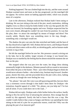Nothing happened. The sun climbed high into the sky, and the water around Drakjan warmed more and more as the day progressed, yet the matchgirl did not appear. No wolves intent on bathing appeared either, which was actually more of a surprise.

Late in the afternoon, Drakjan realized that Hraban hadn't been eating or drinking. He was just sitting at the end of the pier, nearly motionless, shifting slightly every so often to keep his limbs limber in the way that guards did. His head was lowered, his breathing regular and even. Drakjan suspected that his eyes were closed, although he couldn't be sure from his position. So was that the plan, then—to attract the matchgirl by means of hunger and thirst? Not exactly subtle. Maybe there was something more to the trap, though… something only a matchgirl would see.

The shadow the pier cast onto the lake stretched and faded, and the heat of the day dissolved as night fell. Still, Hraban did not move, and Drakjan floated in calm and silent waters with no offal, no shrieking gulls, and no human-made currents to tug at him.

He felt the matchgirl before he saw her. Her presence caused a stirring not in the lake, but in the subtler, larger streams of energy it was bound into. Drakjan was so startled by the feeling that he almost missed the moment she set foot on the pier.

She stopped when she was just over the water, her dingy dress shining unnaturally bright in the darkness. Minutes passed with no sound or movement from either the prey or the hunter. Then—just when Drakjan began to think she would never advance farther—she inched a tiny, hesitant step forward. Another pause, shorter this time, and she proceeded down the pier with a slow, halting gait, almost as though she were feeling her way.

"Sir, please," she said. Her voice was still quavering and thin, but now there was a sweetness woven through it that hadn't been there for Drakjan—the tremulous, hopeful appeal of a child. "Sir, please, can you help me? I'm lost and all alone. If you could show me to the road…"

Hraban did not reply. Drakjan sank a little farther below the surface, hardly daring to flex his tail for fear of attracting her attention. How strange that she would try this approach. Surely she had to know that this was a trap. She couldn't really believe that a man so hungry and thirsty was spending his time sitting on the end of a pier for no particular reason, could she? Why was she playing the part of an innocent girl?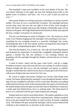The matchgirl's steps were soundless on the worn planks of the pier. She was almost luminous in the night, her bare feet flashing bone-white as she glided closer to Hraban's still form. "Sir, I'm so cold. Could you lend me your—"

One instant, Hraban was sitting on the pier, motionless as a statue carved in marble. The next, he was a crouched blur of motion. The matchgirl had been several steps away, but now she was right in front of him, close enough to touch. She shone so bright with power that Drakjan could hardly make out her features in the glare. Her slight build had lost the illusion of frailty and acquired the lean, compact viciousness of a barracuda.

The pier was blocking too much of Drakjan's view. He reared out of the water to see Hraban lunging past the matchgirl with something in his arms something he was swinging around in a powerful, blindingly fast sweep. Something that had, in the next instant, entirely enveloped the small shape of the matchgirl, extinguishing the glow of her power.

Was that the blanket? Yes, it had to be—the odd, foil-lined thing Hraban had drummed up somewhere. It seemed like a laughably inadequate defense against a creature like this, but somehow, it was working. Hraban was grappling with the matchgirl through the blanket, and she had not yet frozen him solid.

A flash of metal—where had the spear come from?—and for a single, breathless moment it truly did seem like this was working. For half an instant, Drakjan thought that this was it, that the matchgirl was beaten, as unlikely though it seemed that she could be struck down so easily given all of the fierce, wild power Drakjan had seen mirrored in her eyes.

By a trick of angles and motion, Drakjan saw exactly when things went wrong. The hunter had pinned the matchgirl's arms through the blanket, and her legs were too swaddled in stiff fabric for her to kick him. But there was nothing underneath her feet but wood. In the immeasurably short space of time between the instant Hraban thrust his spear forward and when it should have connected, a small, pale foot flashed down, fast as a striking snake. The sharp punch of power as it connected with the pier made Drakjan jerk and gasp.

Drakjan had never heard wood shriek before. The planks exploded as every molecule of water soaked into them froze instantaneously. Hraban stumbled back as the pier beneath him buckled, an entire section of boards crumbling away. The blanket fell open around the matchgirl, and her power blazed forth violently as she reached out, as merciless as the winter sun.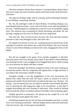One more moment, shorter than a minnow's racing heartbeat, shorter than a note never sung. One more moment, and her pale hand would catch the hunter. And then—

The rage tore Drakjan under with no warning, and he submerged instantly. It was blinding, consuming, absolute.

No. No, the matchgirl could not have Hraban. Everything Drakjan was, everything he had ever been—every cell of his body, every note and syllable of his soul—rebelled against it, rushing into a massive wave of irresistible, raging force. His instincts were screaming for blood, drowning, and death. He was moving, surging up with every fin flared and every fang bared.

How dare she. This was his territory, his prey. *His.* How dare this creature presume to take what belonged to him. *How dare she—*

He lunged over the pier in a low arc, catching the power-hazed form of the matchgirl around the waist before she could touch Hraban. She never had the chance to react before Drakjan was back in the water, dragging her down to the depths.

\*\*\*\*

She did not struggle in his grasp. Even suicides struggled, as did halfdrowned sailors who were already nearly dead. Even soldiers whose lifeblood was draining into the water struggled as he dragged them down, death coming as a race between the depths and their wounds.

Not so the matchgirl. He held her wrapped securely in his arms, looking up towards the surface. She lay completely still against him, so light and bony it was almost like drowning a bundle of twigs.

Strangely enough, it was the sluggishness of his own movements that alerted him, rather than the cold. He wasn't nearly as sensitive to cold as humans and couldn't be leeched of his own heat in the same way. His heat—his energy—was not merely his own; he shared it with the water he held. But there was no denying the odd languorous edge to his movements, or that they'd stopped descending and were floating in mid-water. They would be drifting back towards the surface in another moment if he didn't start swimming again.

Drakjan growled in annoyance. He spread out his caudal fin to its full extent, flexing to push against the water—

Something stung his fin, his tail; his back and shoulders and neck. Crystals of ice were forming around him—delicate filigree lattices and webs that broke when he moved, only to form again immediately.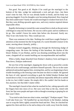Not good. Not good at all. Maybe if he could get the matchgirl to the bottom of the lake, wedge her underneath a rock and get clear—but there wasn't time for that. The ice was already harder to break, and his body was growing sluggish. Even his thoughts were becoming disjointed. How long had they been underwater? Surely she would soon begin to weaken from lack of air. But they were drifting upwards again now, and every motion required almost impossible effort.

Rapidly thickening ice turned the water around him to slush as the pervasive cold began to seep into his bones. He was too cold to panic and too stubborn to let go. She couldn't freeze his entire lake before she drowned. Surely not. They'd see who broke first. They would just see.

There was someone in his lake. Nothing else could have caught Drakjan's attention at that moment but the living body of a warm-blooded creature in his water, moving about clumsily, jerkily…

Drakjan twisted sluggishly, blinking up through the thickening sludge of congealing water. He knew the feeling of this heartbeat, the rhythm of this blood. Hraban. It was Hraban, and he was shouting something down into the water, chopped-off air sounds burbling out incomprehensible and muffled.

When a bulky shape detached from Hraban's shadowy form and began to float down, Drakjan understood.

He tore free of the matchgirl, slapping her down with as powerful a stroke of the tail as he could manage, and threw himself upwards. The ice in the water splintered and pushed against him, resisting him, and he was beginning to have trouble breathing as the freezing water became too thick to inhale. He ignored the burn of cold, ignored everything to grab the folded blanket Hraban had tossed down to him. It was unwieldy and almost impossibly difficult to unfold in the ice, but it didn't matter. He simply did it. He couldn't feel his hands or fins anymore, but that didn't matter either.

The matchgirl clawed at him when he reached for her, raking upwards with her fingers bent into claws of ice. Her eyes were blue as the sky, rimed with frost; her lips were purple and open wide as though screaming or gasping for air that wasn't there.

"You tried to take from me what is mine, matchgirl," Drakjan rasped. "Now I will take from you." He bundled her up mercilessly in the blanket, making sure to wrap the fabric tightly around her head and feet. Then, he clutched her against his chest and dove as far and as deep as he could, away from the slushy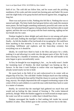field of ice. The cold did not follow him, and he swam until the prickling numbness of his scales and skin turned into burning pain and faded. He swam until the slight body in his grasp bucked and heaved against him, struggling at long last.

There was such power in this. Nothing else felt like it. Nothing else was so natural and right. The bitter battle that had gone before only made this moment more potent. He had fought something immensely powerful and come out the victor. He had pitted himself against a being nobody else had been able to stand against, and here she was in his grasp with her heart stuttering, sighing out her last breath into his water.

Drakjan laughed in sheer delight and sank down to rest among soft green rocks and sand, holding the matchgirl's blanket-swathed form tightly until finally—he felt the shudder of her last breath of air escaping her. He could have done anything in that moment. It was so many things, all at once. It was everything: fulfillment and euphoria and the bone-deep certainty that everything was as it should be.

Ideally, he would have liked to bask in the bliss and peace for a while, soaking it in and allowing it to settle into the deepest parts of him. He'd only been relaxing for a handful of moments, though, when the still bundle in his arms began to grow uncomfortably warm.

At first, he thought he was imagining it, but… no, he really wasn't. Inside her insulating layer of blanket, the dead matchgirl was heating up like a furnace. In the time it took Drakjan to realize what was happening, she'd already turned nearly too hot to hold.

He swam back to the field of ice and corkscrewed to its center with an elegant flip of his fins. The cold didn't bother Drakjan much now that nothing was actively leeching his heat and he'd had the chance to warm up. It didn't last long, anyway. He simply deposited the still-wrapped overheating corpse at the center of the ice and withdrew to watch the near-solid slush thaw back to water in a matter of minutes.

Briefly, he worried that the matchgirl had gathered too much heat and would end up boiling his lake instead of freezing it. The scales balanced perfectly, though. When the blanket sagged in on itself around an empty space, the water was left no warmer or colder than it should have been.

Drakjan unwrapped the bundle to find nothing left inside but several handfuls of ashes. They drifted apart in the currents, forever lost to the lake.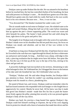Drakjan came up under Hraban like the tide. He was attuned to his heartbeat before he reached him; the fast but controlled rhythm of his breathing, his heat and solid presence in Drakjan's water… He should have gotten out of the lake. Should have gotten onto dry land while he could, fled back to his own world, back in his own element. Because now… Now, it was too late.

"You drowned her? The blanket insulated her under water, too?"

The air sounds made no real sense to Drakjan's ears. He exhaled water as he caught and turned Hraban, lifting him half out of the water before slamming him up against the pier's closest supporting pillar. The wood was warm and slick beneath his palms. The hunter's body pressed hot and solid along his front, right down to his groin and pelvic fins.

The lungful of air Drakjan took in brought with it the scent of ice and ashes. Hraban's hands were on his shoulders but did not push him away; his focus on Drakjan was steady and absolute, and no hint of fear was written in his expression.

It had been so long since Drakjan had felt like this. It had been forever since he'd reveled in the rush that now raged through his blood, the fierce whitewater joy and power and triumph. So long… And there was a sharp, wild edge to this rush, a piercing exultation that he might never have felt before. Not quite like this. Not the way it lit him up all the way to the tips of his fins, stirring in his chest and gut and sex.

A powerful challenger had encroached on his territory, threatening to take what belonged to him. He'd defeated her; he'd dragged her down to the bottom of his lake until she breathed her last. He'd defended what was his.

"Drakjan," Hraban said. He said other things besides, but Drakjan didn't pay attention to those. And then he couldn't say anything anymore because Drakjan took his mouth in a fierce, plundering kiss.

He tasted of blood, lust, and victory. Drakjan could not remember when he had last kissed someone who responded with such hunger or who fought him so aggressively for control. Maybe he never had. All he knew was that it made him growl into Hraban's mouth—made him flex his fins to push the hunter more firmly against the pillar, pinning him securely so he was pressed against Drakjan's body all the way down.

Hraban was hard, his erection a long heated line against Drakjan's hip. Drakjan could feel himself swelling in response, the tip of his cock slipping from its protective sheath with a burst of sensation that made him shiver and his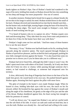hands tighten on Hraban's hips. One of Hraban's hands had wandered to the nape of his neck, holding him steady as Hraban slowed the kiss into something no less deep and hungry but more purposeful—less out of control.

In another moment, Drakjan had to break free to gasp in a deeper breath, the air too thin in his lungs to satisfy his need. Hraban stroked down to the small of his back. Drakjan shivered and remembered too late that he should warn him… but the hunter only stroked light, teasing fingers along the base of his dorsal fin, avoiding the sharp edges. The touch went straight to Drakjan's cock, little hooks of need twisting into his gut.

"I've heard of hunters who try to capture nix alive," Hraban rasped, eyes dark and drowning deep. "They take them far away from water and promise to let them live if they let the hunter have their way with them."

Drakjan's laugh came out low and dark. "And how many of those hunters live to see the next dawn?"

"Not many, I'd say." Hraban now had both hands on his fin, stroking firmly upwards along the sensitive spines. The touch speared through Drakjan in flashes of quicksilver pleasure, and he arched his back and gasped, pushing his now fully emerged erection against the hunter. "I've also heard that some nix promise not to drown you if you let them take you in a different way."

Drakjan had never heard this, although that didn't mean it wasn't true. He hadn't spent much time with others of his kind. Generally, he'd only met them when he'd been too slow or clumsy while passing through someone else's waters, or had wanted to challenge, or someone had trespassed onto his territory.

A slow, deliciously firm drag of fingertips back down to the base of his fin made him growl, the sound harsh in his own ears. He pushed himself against Hraban again, thrusting him back against the pillar with more force.

The glint of triumph in the hunter's eyes made Drakjan laugh. When he leaned in close, holding lake-dark eyes with his own, the touch on his fin slowed, stilled. He brushed his lips against the corner of Hraban's mouth and along the angle of his cheekbone, bit gently at the edge of his jaw and the side of his throat. Hraban shuddered against him, his heart racing fast enough to belie his pretense of control.

"I will not drown you," he rasped into Hraban's ear and set careful teeth into the soft flesh of his lobe. It wasn't an oath and could not bind him, but it was the truth. Hraban was already his—hot and hard and willing in his water.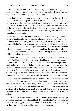The touch on his dorsal fin slid lower, a large, hot hand spreading over the scales covering his backside to press him closer and push their erections together in a drawn-out, lingering tease. "I know."

He didn't quite understand it, but those simple words cut through Drakjan like a spear. He groaned against the curve of Hraban's neck, pelvic fins flexing helplessly where they were trapped between the press of their bodies, trying to curl forward, to hold Hraban in place. Drakjan's cock was too sensitive for this, but he was so greedy for the feeling of the hot, heavy ridge of the hunter's erection against his own that he rubbed against him anyway, never mind the rough fabric of his pants.

Hraban's shirt was too robust to tear off, but once Hraban caught on to what he was trying to do, he pushed Drakjan's hands away and quickly shrugged it off, letting it drift heedlessly away. Drakjan dropped below the water's surface to seize Hraban's pants, dragging them down a bare instant after Hraban worked open the button. He'd forgotten about the shoes, but that was a minor setback. An instant later he was hooking a hand into the scrap of thin, clinging white fabric Hraban wore underneath the pants, yanking it down to join the rest of his clothes in the current.

Underneath all the clothes humans wore, Hraban was lean and strong, heating Drakjan's skin to blood-warmth as Drakjan skimmed greedy palms up the side of his legs. His body was that of the most versatile kind of predator sleek and muscular, but not bulky, built for endurance and speed as well as strength. Drakjan found him beautiful—broad-shouldered and slim-hipped, every part of him perfectly honed to hunt and kill. His cock was long and thick, a heavy weight of balls underneath. It was even warmer than the rest of him, thrumming in Drakjan's curious grip with the rapid rhythm of Hraban's heart.

He shifted forward to take the tip in his mouth. He'd seen a human woman do this in an alleyway once, and the man had made sounds he'd never before heard from anyone who wasn't dying. He liked the feeling of Hraban's cock lying against his tongue, solid and pulsing with blood… moss-soft skin over steel-and-silver hardness. He liked how tight Hraban's hands were on his shoulders, liked the tension in his thighs—how restlessly he shifted against the pillar.

With a bit of experimentation, Drakjan found a good way to seal his lips around the shaft and suck. He could only fit part of Hraban's erection into his mouth, so he wrapped one hand around the base as he started up a driving rhythm, working him hard and fast from the first moment.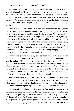Even beneath the water's surface, the choked, cut-off sounds Hraban made were clearly audible. His reactions quickly grew less controlled; soon he was grabbing at Drakjan's shoulders and the back of his head to pull him in closer, make him go faster. His hips moved in time with Drakjan's rhythm, his abs bunching. When Drakjan slid his free hand down to cup his balls and stroke behind them with careful fingertips, Hraban opened his thighs immediately, willingly.

Drakjan broke upwards into air to immediately be trapped in a steel grip and hauled close. Hraban caught his mouth in a rough, punishing kiss that wasn't hungry so much as devouring. His hands slid down Drakjan's body to settle on his lower back and haul him in close, thighs coming up to clasp Drakjan's hips between them. He arched his back and threw back his head, exposing the long line of his throat, and Drakjan could not imagine refusing what was so clearly offered—couldn't imagine wanting to. His own erection was curving up towards his belly, the sheath closed tight around the base in readiness and the flared head fully exposed. Drakjan had held back long enough; had already waited too long. He would not wait any longer.

Hraban was gasping something that sounded like words, but Drakjan couldn't understand what he was saying. It didn't matter. All that mattered now was the feeling of Hraban's body against his—how he shivered at Drakjan's touch. All that mattered was the whitewater lust that cascaded through Drakjan when he pressed at the base of his own erection, forcing his fingers down into his sheath to coat them in slick. He spread it over his cock as quickly as possible and couldn't keep in a moan when he dipped into his sheath again before reaching to rub the lubricant into Hraban's opening.

The hunter twisted in the water, lifting his hips wantonly. His eyes were fever-bright, and his grip on Drakjan's shoulders was almost painful. Drakjan lifted him a bit higher until his shoulders were braced against the pillar and his legs open around Drakjan's hips—the perfect angle to slide inside him.

Hraban made a punched-out little gasp at the first touch of Drakjan's cock against his hole, and then froze into stillness when Drakjan drove inside with a flex of the fins, pushing past initial resistance into tight heat. He gave a chokedoff, harsh little cry as Drakjan thrust deep with one more flip of his caudal fin, seating himself in raging, dizzying sensation from tip to root. And he moaned helplessly when Drakjan pulled out and drove back in as deep and hard as he could.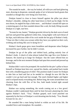The sounds he made… the way he looked, all wild eyes and hard glittering stare, drawing in desperate, unsteady gulps of air in between harsh grunts that sounded as though they were being torn from him…

Drakjan leaned in close to brace himself against the pillar just above Hraban's shoulder, sliding his other hand down to hitch up his thigh. On his next thrust, he angled his hips a little more… and Hraban's mouth fell open on a stuttering gust of air that sounded almost like a sob, his body lifting towards Drakjan in a tight, taut bow.

"Scream for me, hunter," Drakjan growled, driven by the dark wave of need and lust and greed that gathered within him, rising higher with each thrust of his hips, each delicious slide of his cock inside the hot grip of Hraban's body. "I hear nix like it when you scream while they have you spitted on their cock, writhing and arching like you're dying for it."

Hraban's harsh gasps grew more breathless and desperate when Drakjan increased his pace further, but he didn't scream.

Drakjan let go of the pillar and shifted back, pulling entirely free of Hraban's body. A shock of what almost looked like rage flew over Hraban's features. He reared up to lunge for Drakjan—but the water offered him no leverage, and in the next moment Drakjan had spun him around and pressed up behind him.

Hraban didn't wait to be prompted. He reached for the pier's pillar to brace himself as Drakjan bent him over, spread his cheeks, and pushed back inside him with a shuddering groan of relief. This position made it easier for Drakjan to take him as hard and fast as he needed to—though he now felt like he couldn't ever go hard and fast enough. The need climbed higher and higher until it eclipsed nearly everything else. Before long, the water around them was churning from the wild flex of his fins, both hands locked tight around Hraban's hips.

Hraban was saying something, the words coming out as a low growl. Drakjan couldn't understand them until he bent forward, plastering his chest against Hraban's back. "You," Hraban gasped, each word punched out separately by the force of Drakjan's cock thrusting into his body. "You. Should. Scream for *me*, nix."

He sounded like a man being fucked to within an inch of his life. He sounded fierce and triumphant. He sounded…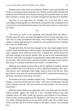Drakjan set his teeth in the curve between Hraban's neck and shoulder and bit down, reaching around to strip his cock. Hraban arched wildly beneath him and threw back his head, every muscle straining. The sound he made was more like a sob than a scream, but it was harsh and guttural and entirely irresistible.

And then it was right there for Drakjan, too. It hit him like a wall, everything coming together in a flash flood, seizing him with crushing force in a torrent of ecstasy that broke him apart, bowed his spine and tore a shout from his throat.

\*\*\*\*

*"The faint air cools in the gloaming, and peaceful flows the Rhine,"* Drakjan sang. His voice cut neatly through the cool air of early morning, every note clear as water and imbued with deep, sweet melancholy. *"The loveliest maiden is sitting high-throned in yon blue air. Her golden jewels are shining, she combs her golden hair."*

Though still short, his hair had managed to dry into rough tangles that he couldn't easily smooth down with his fingers. He leaned forward on his rock to catch a glimpse of his reflection in the river. It looked fine, and his beard was still short enough to be neat by default. Still, he had to start remembering to fetch his comb if he was going to be spending any appreciable amount of time out of water. *"She combs with a comb that is golden, and sings a weird refrain, that steeps in a deadly enchantment the listener's ravished brain."*

Birdsong was starting up all around as the sky lightened, melding with the quiet sounds of the river and forest to form a pleasing backdrop to his voice. The beavers were returning to their lodge, ready to turn in for the day. They gave him no more than the usual respectful berth. It seemed their memory for all things unrelated to their dams was short.

He smiled as he took in another lungful of air. *"The doomed in his drifting shallop, is tranced with the sad sweet tone."* His voice carried easily over the water, resonant and rich. *"He sees not the yawning breakers, he sees but the maid alone."*

When he turned, Hraban was right there, only a few steps onto dry land. He leaned casually against the trunk of a tree, watching Drakjan sing with complete focus. He hadn't made any sound to alert Drakjan to his presence. There'd been no betraying motion for Drakjan to catch from the corner of an eye, either. Drakjan had known he was there all the same. He wouldn't have lived to see this day if he'd been unable to tell when a hunter was watching him.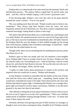Drakjan drew in a deep breath of air and soared into the dramatic finish with full-throated passion. *"The pitiless billows engulf him! So perish sailor and bark… and this, with her baleful singing, is the Lorelei's gruesome work."*

In the dawning light, Hraban's eyes were the color of sea grass directly beneath the water's surface. "You're very good."

This was nothing more than the truth. "People would come to listen to me, sometimes." They always kept their distance from the water, and were frequently armed, but he'd liked that, too. Was there a better compliment than someone knowingly risking death to listen to him sing?

The silence that fell between them was a comfortable one, and Drakjan used it to study Hraban. He seemed none the worse for wear for his long vigil on the pier, or the trip to town he'd embarked on immediately after. He hadn't shaved, but Drakjan liked the way the shadow of dark stubble brought out the strong lines of his features, adding a hint of hardness and danger. It suited him—made him look like the lethal hunter he was.

Though really, there was no mistaking him for anything else anyway, pretty lake-deep eyes or no.

Hraban's gaze on him was steady and cool, his attention a near-tangible force. Drakjan didn't have to wonder what he saw; he knew. Hraban saw him for what he really was. Everything he was—what he had been, what he would always be, and what he had chosen to become. He was the only one who saw it all: the depths, the hunger, Julian, and the song.

"I spoke to Linda Tailor about permission to remain in her territory and inquired what she would ask in return," Hraban said abruptly.

It took Drakjan a moment to remember that the leaders of the clan of bears who held the forest were called Linda and… something. David, maybe. He would have remembered sooner if he hadn't been distracted by the news that Hraban had asked for guest right. Considering that Hraban was a stranger here, guest right was bound to involve major concessions. Whether or not the bears granted it, the mere fact that he had asked…

"She offered to relinquish several square kilometers of forest with access to the river to me if I agree to act as the clan's gamekeeper." There was a definite undercurrent of disbelief running through Hraban's tone now. "It seems that none of them enjoys the work."

Seriously, the bears were giving away part of their territory to a stranger, as though it were of no more consequence than a handful of air? Drakjan snorted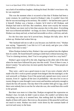out a bark of incredulous laughter, shaking his head. He didn't even know why he was surprised.

This was the moment when it occurred to him that if Hraban had been a water creature, he could have stayed in Drakjan's lake. It wouldn't have felt like he was encroaching on his territory. He couldn't—he had become a part of it himself. Hraban was a human, a hunter; he'd tried to kill Drakjan, and Drakjan had tried to kill him. But somehow, those were exactly the reasons why Hraban was more real to him than anyone else in this place. Everything here was so blurred and dulled—no fangs, no claws. Everything except Hraban. Hraban was sharp and real, as hard and inexorable as silver, cold iron, and ash.

For the first time since he'd arrived here, Drakjan felt fully alive. He'd woken up. Hraban had woken him up.

"Her husband told me to talk to you because you hold the river," Hraban was saying. "Apparently I can fish in it if I ask nicely and give you a little money from time to time."

When Drakjan looked at him, Hraban's lips were quirked into the slightest hint of a smile. He found himself wanting to smile back without knowing why. "You're claiming territory, then? You're not going to look for a way back?"

Hraban's gaze swept off to the side, lingering on the other side of the dam where he must have followed his prey into this world. "Even if there is one, it doesn't matter," he said at last, far more quietly than before. "These people are defenseless."

They were—and it was a good reason to stay if you were a hunter who'd made it his life's work to protect people from dangers like the matchgirl, or the real werewolf, or Drakjan. Even if the portal only opened once every score of seasons. Even if—against all the laws of probability—the next five or ten or twenty things to come through it were sweet and harmless and pretty enough to charm the fins off anyone. One day there'd be another little girl in rags, and if there were nobody here to see her for what she was, she would burn this world to the ground.

But there was more to it than that. Drakjan recognized the expression on Hraban's face. In truth, he didn't want to return. He couldn't yet believe that everything was truly as it seemed here, that nothing dark lay hidden in the depths of these still waters. But even so, the promise of this peaceful world was too much to resist. Hraban was tired—worn down by the constant battle of survival and weary to the bone.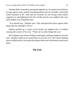Drakjan didn't remember passing through the rip. Occupied as he had been by rage, agony, terror, and the consuming need to survive, he hadn't noticed the actual transition at all—only that one moment, he was facing certain death, trapped in air and fighting for his life, and the next he was cradled in the cool, silent depths of an unfamiliar lake.

"You should stay," Drakjan said. "Stay and guard this place against other things like the matchgirl. Or me."

Hraban quirked up a corner of his mouth, the slightest hint of crinkles creasing the corners of his eyes. "There are no other things like you."

He'd slipped away before Drakjan could reply, melting soundlessly into the trees. Drakjan smiled as he turned back to face the river. He'd been thinking about a ballad earlier, but maybe the shanty about men with beards would serve better.

#### **The End**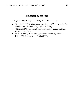### **Bibliography of Songs**

<span id="page-63-0"></span>The lyrics Drakjan sings in the story are listed (in order):

- "Der Fischer" [The Fisherman] by Johann Wolfgang von Goethe (1779), trans. Matthew Gregory Lewis (1796).
- "Piratenlied" [Pirate Song], traditional, author unknown, trans. Alex Gabriel (2015).
- "Die Loreley" [An ancient legend of the Rhine] by Heinrich Heine (1824), trans. Mark Twain (1880).